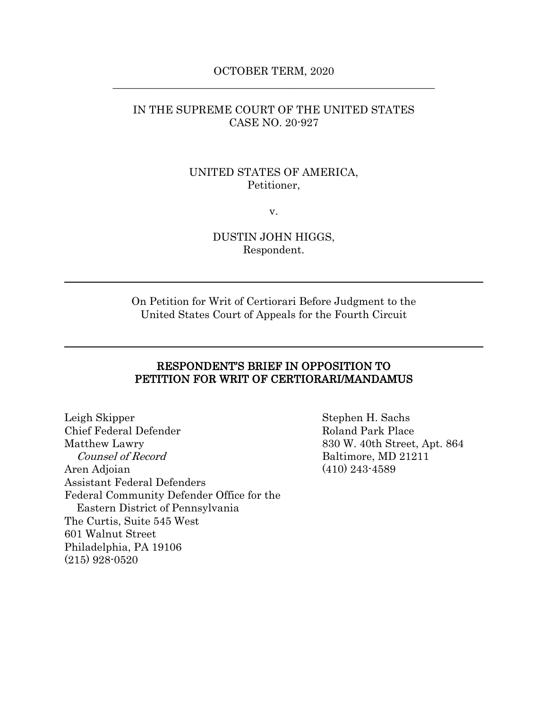## OCTOBER TERM, 2020 \_\_\_\_\_\_\_\_\_\_\_\_\_\_\_\_\_\_\_\_\_\_\_\_\_\_\_\_\_\_\_\_\_\_\_\_\_\_\_\_\_\_\_\_\_\_\_\_\_\_\_\_\_\_\_\_\_\_\_\_

## IN THE SUPREME COURT OF THE UNITED STATES CASE NO. 20-927

## UNITED STATES OF AMERICA, Petitioner,

v.

## DUSTIN JOHN HIGGS, Respondent.

On Petition for Writ of Certiorari Before Judgment to the United States Court of Appeals for the Fourth Circuit

## RESPONDENT'S BRIEF IN OPPOSITION TO PETITION FOR WRIT OF CERTIORARI/MANDAMUS

Leigh Skipper Stephen H. Sachs Chief Federal Defender Roland Park Place Matthew Lawry 830 W. 40th Street, Apt. 864 Counsel of Record Baltimore, MD 21211 Aren Adjoian (410) 243-4589 Assistant Federal Defenders Federal Community Defender Office for the Eastern District of Pennsylvania The Curtis, Suite 545 West 601 Walnut Street Philadelphia, PA 19106 (215) 928-0520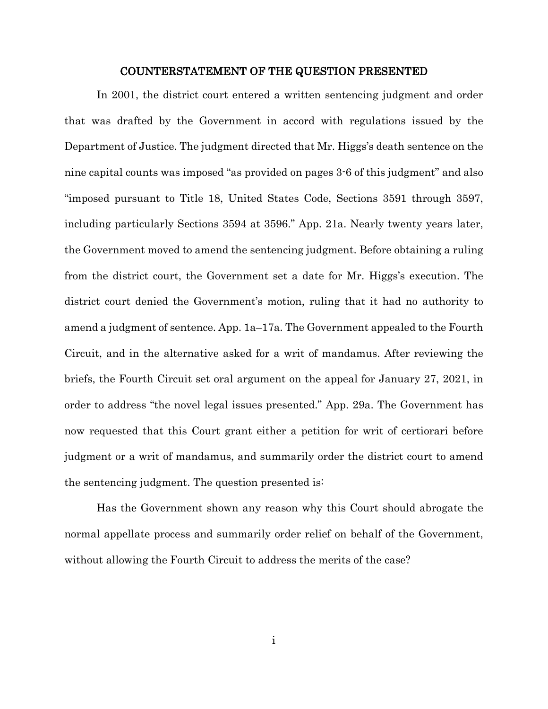#### <span id="page-1-0"></span>COUNTERSTATEMENT OF THE QUESTION PRESENTED

In 2001, the district court entered a written sentencing judgment and order that was drafted by the Government in accord with regulations issued by the Department of Justice. The judgment directed that Mr. Higgs's death sentence on the nine capital counts was imposed "as provided on pages 3-6 of this judgment" and also "imposed pursuant to Title 18, United States Code, Sections 3591 through 3597, including particularly Sections 3594 at 3596." App. 21a. Nearly twenty years later, the Government moved to amend the sentencing judgment. Before obtaining a ruling from the district court, the Government set a date for Mr. Higgs's execution. The district court denied the Government's motion, ruling that it had no authority to amend a judgment of sentence. App. 1a–17a. The Government appealed to the Fourth Circuit, and in the alternative asked for a writ of mandamus. After reviewing the briefs, the Fourth Circuit set oral argument on the appeal for January 27, 2021, in order to address "the novel legal issues presented." App. 29a. The Government has now requested that this Court grant either a petition for writ of certiorari before judgment or a writ of mandamus, and summarily order the district court to amend the sentencing judgment. The question presented is:

Has the Government shown any reason why this Court should abrogate the normal appellate process and summarily order relief on behalf of the Government, without allowing the Fourth Circuit to address the merits of the case?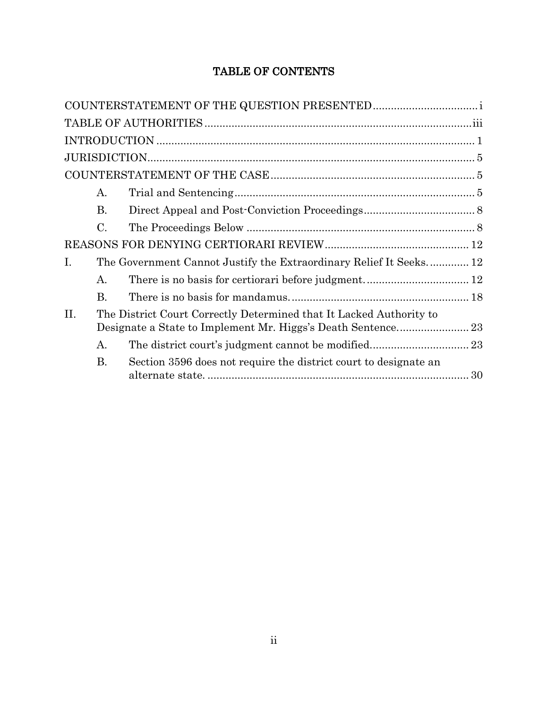# TABLE OF CONTENTS

|             | A.                                                                  |                                                                    |  |
|-------------|---------------------------------------------------------------------|--------------------------------------------------------------------|--|
|             | <b>B.</b>                                                           |                                                                    |  |
|             | $\mathcal{C}$ .                                                     |                                                                    |  |
|             |                                                                     |                                                                    |  |
| $I_{\cdot}$ |                                                                     | The Government Cannot Justify the Extraordinary Relief It Seeks 12 |  |
|             | А.                                                                  |                                                                    |  |
|             | <b>B.</b>                                                           |                                                                    |  |
| II.         | The District Court Correctly Determined that It Lacked Authority to |                                                                    |  |
|             | A.                                                                  |                                                                    |  |
|             | <b>B.</b>                                                           | Section 3596 does not require the district court to designate an   |  |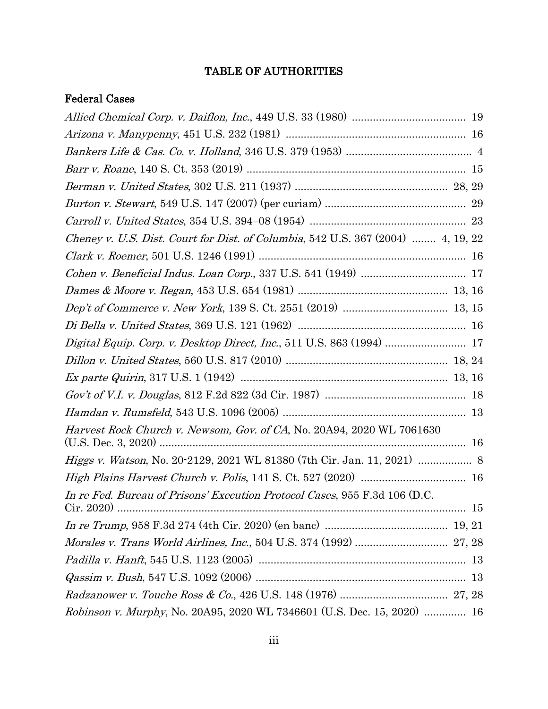# TABLE OF AUTHORITIES

# <span id="page-3-0"></span>Federal Cases

| Cheney v. U.S. Dist. Court for Dist. of Columbia, 542 U.S. 367 (2004)  4, 19, 22 |
|----------------------------------------------------------------------------------|
|                                                                                  |
|                                                                                  |
|                                                                                  |
|                                                                                  |
|                                                                                  |
| Digital Equip. Corp. v. Desktop Direct, Inc., 511 U.S. 863 (1994)  17            |
|                                                                                  |
|                                                                                  |
|                                                                                  |
|                                                                                  |
| Harvest Rock Church v. Newsom, Gov. of CA, No. 20A94, 2020 WL 7061630            |
|                                                                                  |
|                                                                                  |
| In re Fed. Bureau of Prisons' Execution Protocol Cases, 955 F.3d 106 (D.C.       |
| Cir. 2020                                                                        |
|                                                                                  |
|                                                                                  |
|                                                                                  |
|                                                                                  |
|                                                                                  |
| Robinson v. Murphy, No. 20A95, 2020 WL 7346601 (U.S. Dec. 15, 2020)  16          |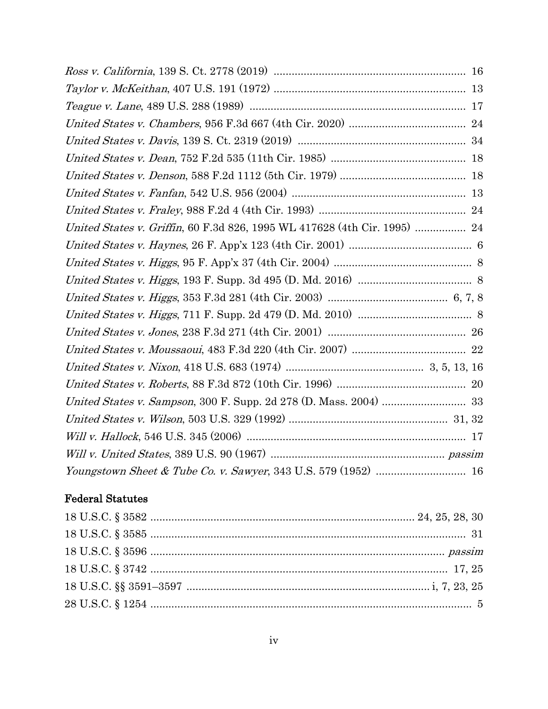| United States v. Griffin, 60 F.3d 826, 1995 WL 417628 (4th Cir. 1995)  24 |  |
|---------------------------------------------------------------------------|--|
|                                                                           |  |
|                                                                           |  |
|                                                                           |  |
|                                                                           |  |
|                                                                           |  |
|                                                                           |  |
|                                                                           |  |
|                                                                           |  |
|                                                                           |  |
|                                                                           |  |
|                                                                           |  |
|                                                                           |  |
|                                                                           |  |
|                                                                           |  |

# Federal Statutes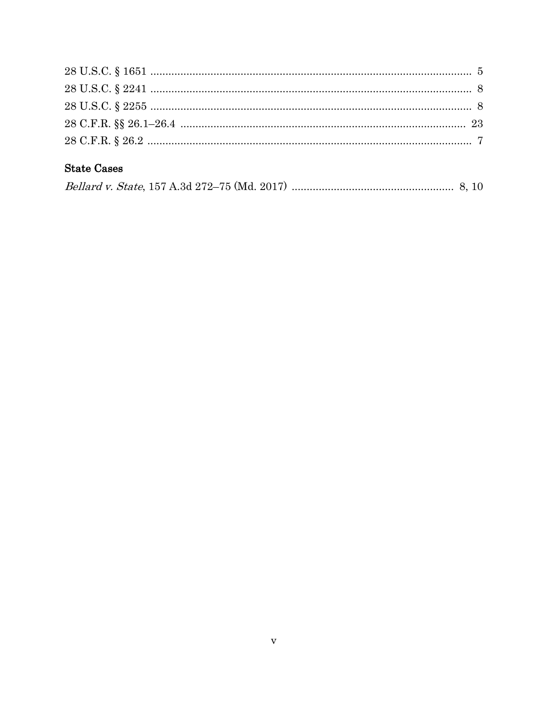# **State Cases**

|--|--|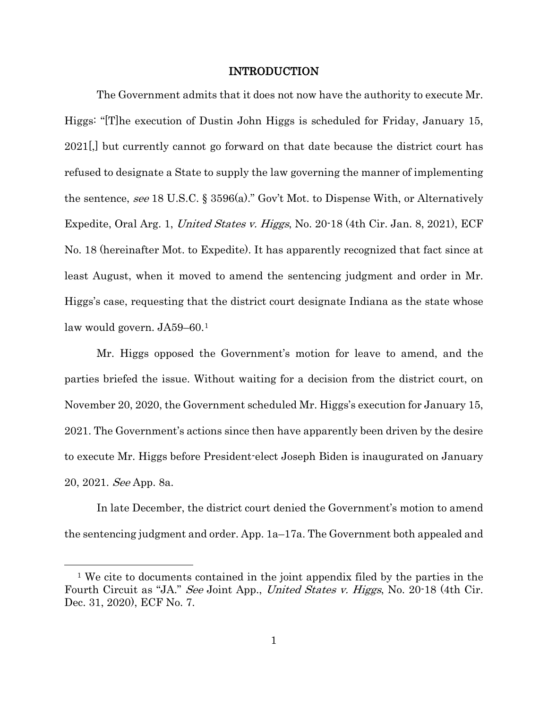### INTRODUCTION

<span id="page-6-0"></span>The Government admits that it does not now have the authority to execute Mr. Higgs: "[T]he execution of Dustin John Higgs is scheduled for Friday, January 15, 2021[,] but currently cannot go forward on that date because the district court has refused to designate a State to supply the law governing the manner of implementing the sentence, see 18 U.S.C. § 3596(a)." Gov't Mot. to Dispense With, or Alternatively Expedite, Oral Arg. 1, United States v. Higgs, No. 20-18 (4th Cir. Jan. 8, 2021), ECF No. 18 (hereinafter Mot. to Expedite). It has apparently recognized that fact since at least August, when it moved to amend the sentencing judgment and order in Mr. Higgs's case, requesting that the district court designate Indiana as the state whose law would govern. JA59–60.[1](#page-6-1)

Mr. Higgs opposed the Government's motion for leave to amend, and the parties briefed the issue. Without waiting for a decision from the district court, on November 20, 2020, the Government scheduled Mr. Higgs's execution for January 15, 2021. The Government's actions since then have apparently been driven by the desire to execute Mr. Higgs before President-elect Joseph Biden is inaugurated on January 20, 2021. See App. 8a.

In late December, the district court denied the Government's motion to amend the sentencing judgment and order. App. 1a–17a. The Government both appealed and

 $\overline{a}$ 

<span id="page-6-1"></span><sup>1</sup> We cite to documents contained in the joint appendix filed by the parties in the Fourth Circuit as "JA." See Joint App., United States v. Higgs, No. 20-18 (4th Cir. Dec. 31, 2020), ECF No. 7.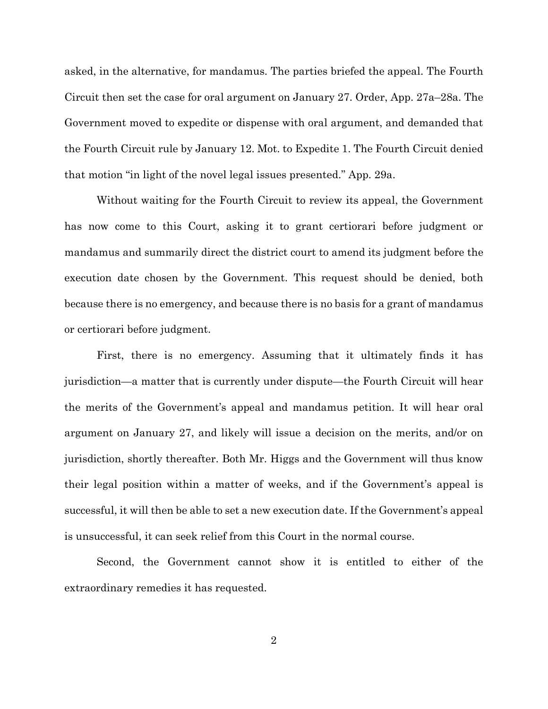asked, in the alternative, for mandamus. The parties briefed the appeal. The Fourth Circuit then set the case for oral argument on January 27. Order, App. 27a–28a. The Government moved to expedite or dispense with oral argument, and demanded that the Fourth Circuit rule by January 12. Mot. to Expedite 1. The Fourth Circuit denied that motion "in light of the novel legal issues presented." App. 29a.

Without waiting for the Fourth Circuit to review its appeal, the Government has now come to this Court, asking it to grant certiorari before judgment or mandamus and summarily direct the district court to amend its judgment before the execution date chosen by the Government. This request should be denied, both because there is no emergency, and because there is no basis for a grant of mandamus or certiorari before judgment.

First, there is no emergency. Assuming that it ultimately finds it has jurisdiction—a matter that is currently under dispute—the Fourth Circuit will hear the merits of the Government's appeal and mandamus petition. It will hear oral argument on January 27, and likely will issue a decision on the merits, and/or on jurisdiction, shortly thereafter. Both Mr. Higgs and the Government will thus know their legal position within a matter of weeks, and if the Government's appeal is successful, it will then be able to set a new execution date. If the Government's appeal is unsuccessful, it can seek relief from this Court in the normal course.

Second, the Government cannot show it is entitled to either of the extraordinary remedies it has requested.

2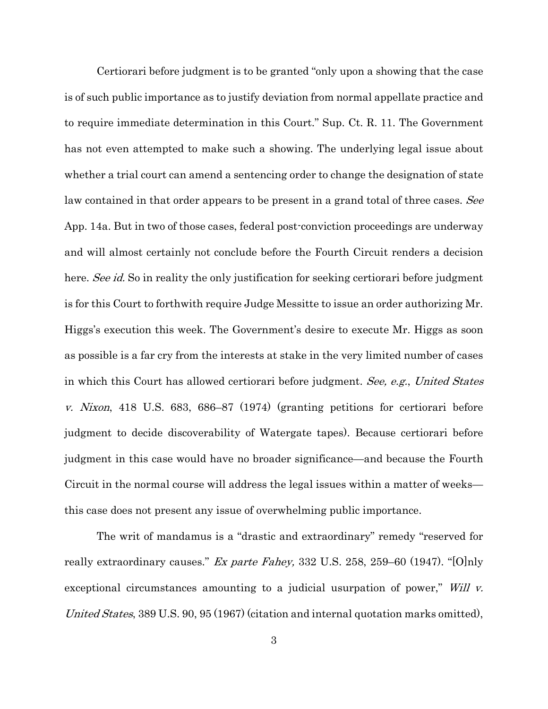Certiorari before judgment is to be granted "only upon a showing that the case is of such public importance as to justify deviation from normal appellate practice and to require immediate determination in this Court." Sup. Ct. R. 11. The Government has not even attempted to make such a showing. The underlying legal issue about whether a trial court can amend a sentencing order to change the designation of state law contained in that order appears to be present in a grand total of three cases. See App. 14a. But in two of those cases, federal post-conviction proceedings are underway and will almost certainly not conclude before the Fourth Circuit renders a decision here. See id. So in reality the only justification for seeking certiorari before judgment is for this Court to forthwith require Judge Messitte to issue an order authorizing Mr. Higgs's execution this week. The Government's desire to execute Mr. Higgs as soon as possible is a far cry from the interests at stake in the very limited number of cases in which this Court has allowed certiorari before judgment. See, e.g., United States v. Nixon, 418 U.S. 683, 686–87 (1974) (granting petitions for certiorari before judgment to decide discoverability of Watergate tapes). Because certiorari before judgment in this case would have no broader significance—and because the Fourth Circuit in the normal course will address the legal issues within a matter of weeks this case does not present any issue of overwhelming public importance.

<span id="page-8-0"></span>The writ of mandamus is a "drastic and extraordinary" remedy "reserved for really extraordinary causes." Ex parte Fahey, 332 U.S. 258, [259–60](https://1.next.westlaw.com/Link/Document/FullText?findType=Y&serNum=1947115024&pubNum=0000708&originatingDoc=I72f1dbe49c9a11d991d0cc6b54f12d4d&refType=RP&originationContext=document&transitionType=DocumentItem&contextData=(sc.Search)) (1947). "[O]nly exceptional circumstances amounting to a judicial usurpation of power," Will v. United States, 389 U.S. 90, 95 (1967) (citation and internal quotation marks omitted),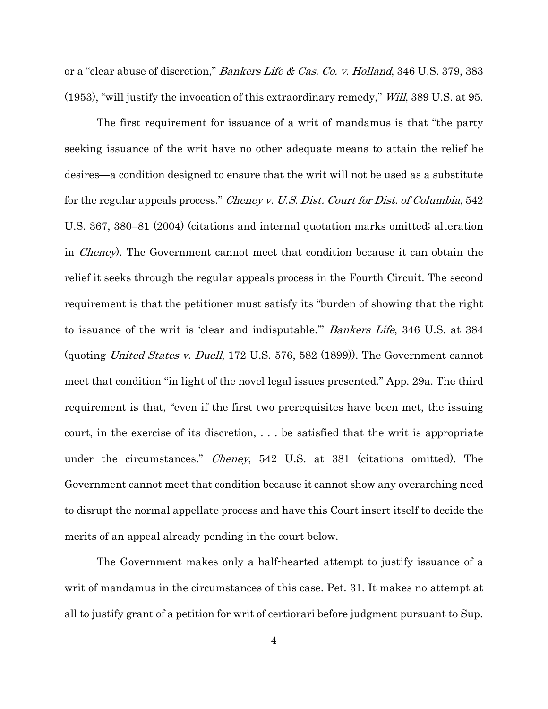<span id="page-9-0"></span>or a "clear abuse of discretion," *Bankers Life & Cas. Co. v. Holland*, 346 U.S. 379, 383 (1953), "will justify the invocation of this extraordinary remedy," Will, 389 U.S. at 95.

<span id="page-9-1"></span>The first requirement for issuance of a writ of mandamus is that "the party seeking issuance of the writ have no other adequate means to attain the relief he desires—a condition designed to ensure that the writ will not be used as a substitute for the regular appeals process." *Cheney v. U.S. Dist. Court for Dist. of Columbia*, 542 U.S. 367, 380–81 (2004) (citations and internal quotation marks omitted; alteration in Cheney). The Government cannot meet that condition because it can obtain the relief it seeks through the regular appeals process in the Fourth Circuit. The second requirement is that the petitioner must satisfy its "burden of showing that the right to issuance of the writ is 'clear and indisputable.'" Bankers Life, 346 U.S. at 384 (quoting United States v. Duell, 172 U.S. 576, 582 (1899)). The Government cannot meet that condition "in light of the novel legal issues presented." App. 29a. The third requirement is that, "even if the first two prerequisites have been met, the issuing court, in the exercise of its discretion, . . . be satisfied that the writ is appropriate under the circumstances." *Cheney*, 542 U.S. at 381 (citations omitted). The Government cannot meet that condition because it cannot show any overarching need to disrupt the normal appellate process and have this Court insert itself to decide the merits of an appeal already pending in the court below.

The Government makes only a half-hearted attempt to justify issuance of a writ of mandamus in the circumstances of this case. Pet. 31. It makes no attempt at all to justify grant of a petition for writ of certiorari before judgment pursuant to Sup.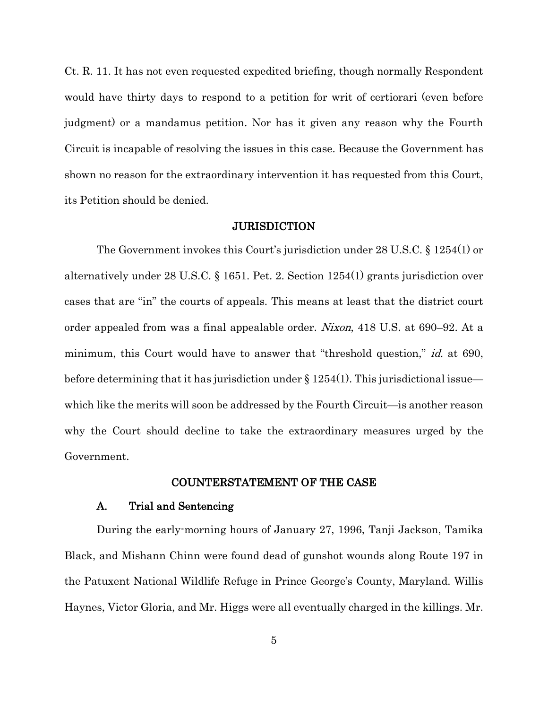Ct. R. 11. It has not even requested expedited briefing, though normally Respondent would have thirty days to respond to a petition for writ of certiorari (even before judgment) or a mandamus petition. Nor has it given any reason why the Fourth Circuit is incapable of resolving the issues in this case. Because the Government has shown no reason for the extraordinary intervention it has requested from this Court, its Petition should be denied.

### <span id="page-10-5"></span><span id="page-10-4"></span><span id="page-10-3"></span>**JURISDICTION**

<span id="page-10-0"></span>The Government invokes this Court's jurisdiction under 28 U.S.C. § 1254(1) or alternatively under 28 U.S.C. § 1651. Pet. 2. Section 1254(1) grants jurisdiction over cases that are "in" the courts of appeals. This means at least that the district court order appealed from was a final appealable order. Nixon, 418 U.S. at 690–92. At a minimum, this Court would have to answer that "threshold question," *id.* at 690, before determining that it has jurisdiction under  $\S 1254(1)$ . This jurisdictional issue which like the merits will soon be addressed by the Fourth Circuit—is another reason why the Court should decline to take the extraordinary measures urged by the Government.

### COUNTERSTATEMENT OF THE CASE

#### <span id="page-10-1"></span>A. Trial and Sentencing

<span id="page-10-2"></span>During the early-morning hours of January 27, 1996, Tanji Jackson, Tamika Black, and Mishann Chinn were found dead of gunshot wounds along Route 197 in the Patuxent National Wildlife Refuge in Prince George's County, Maryland. Willis Haynes, Victor Gloria, and Mr. Higgs were all eventually charged in the killings. Mr.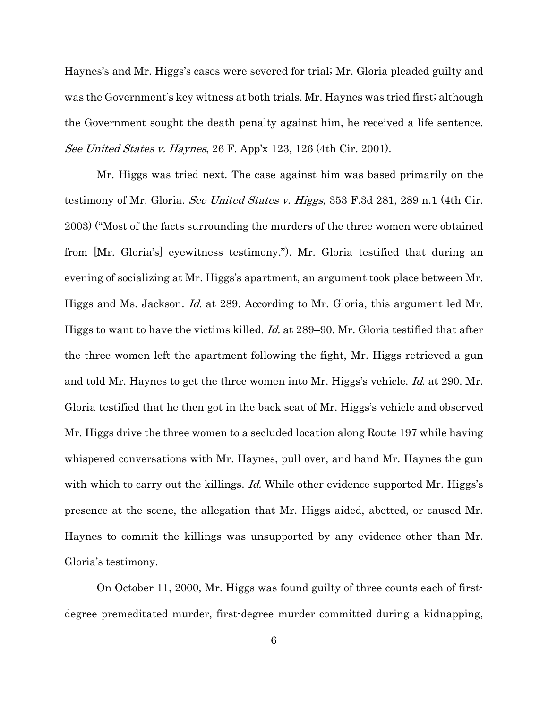Haynes's and Mr. Higgs's cases were severed for trial; Mr. Gloria pleaded guilty and was the Government's key witness at both trials. Mr. Haynes was tried first; although the Government sought the death penalty against him, he received a life sentence. See United States v. Haynes, 26 F. App'x 123, 126 (4th Cir. 2001).

<span id="page-11-1"></span><span id="page-11-0"></span>Mr. Higgs was tried next. The case against him was based primarily on the testimony of Mr. Gloria. See United States v. Higgs, 353 F.3d 281, 289 n.1 (4th Cir. 2003) ("Most of the facts surrounding the murders of the three women were obtained from [Mr. Gloria's] eyewitness testimony."). Mr. Gloria testified that during an evening of socializing at Mr. Higgs's apartment, an argument took place between Mr. Higgs and Ms. Jackson. Id. at 289. According to Mr. Gloria, this argument led Mr. Higgs to want to have the victims killed. Id. at 289–90. Mr. Gloria testified that after the three women left the apartment following the fight, Mr. Higgs retrieved a gun and told Mr. Haynes to get the three women into Mr. Higgs's vehicle. Id. at 290. Mr. Gloria testified that he then got in the back seat of Mr. Higgs's vehicle and observed Mr. Higgs drive the three women to a secluded location along Route 197 while having whispered conversations with Mr. Haynes, pull over, and hand Mr. Haynes the gun with which to carry out the killings. Id. While other evidence supported Mr. Higgs's presence at the scene, the allegation that Mr. Higgs aided, abetted, or caused Mr. Haynes to commit the killings was unsupported by any evidence other than Mr. Gloria's testimony.

On October 11, 2000, Mr. Higgs was found guilty of three counts each of firstdegree premeditated murder, first-degree murder committed during a kidnapping,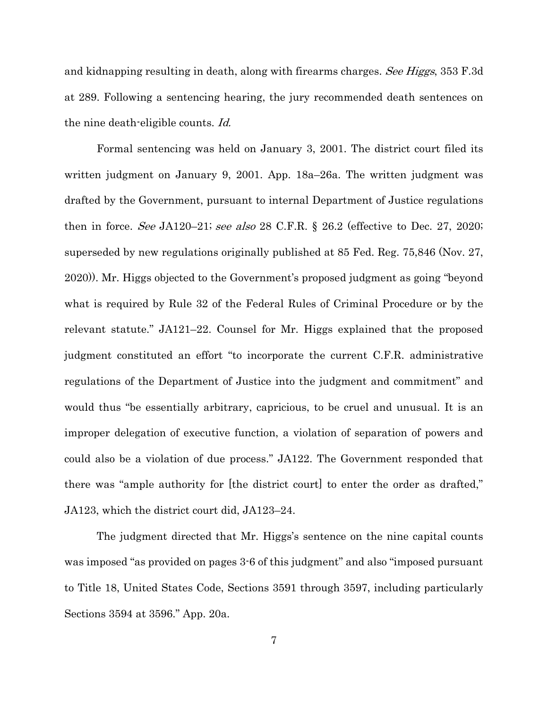<span id="page-12-0"></span>and kidnapping resulting in death, along with firearms charges. See Higgs, 353 F.3d at 289. Following a sentencing hearing, the jury recommended death sentences on the nine death-eligible counts. Id.

<span id="page-12-1"></span>Formal sentencing was held on January 3, 2001. The district court filed its written judgment on January 9, 2001. App. 18a–26a. The written judgment was drafted by the Government, pursuant to internal Department of Justice regulations then in force. See JA120–21; see also 28 C.F.R. § 26.2 (effective to Dec. 27, 2020; superseded by new regulations originally published at 85 Fed. Reg. 75,846 (Nov. 27, 2020)). Mr. Higgs objected to the Government's proposed judgment as going "beyond what is required by Rule 32 of the Federal Rules of Criminal Procedure or by the relevant statute." JA121–22. Counsel for Mr. Higgs explained that the proposed judgment constituted an effort "to incorporate the current C.F.R. administrative regulations of the Department of Justice into the judgment and commitment" and would thus "be essentially arbitrary, capricious, to be cruel and unusual. It is an improper delegation of executive function, a violation of separation of powers and could also be a violation of due process." JA122. The Government responded that there was "ample authority for [the district court] to enter the order as drafted," JA123, which the district court did, JA123–24.

The judgment directed that Mr. Higgs's sentence on the nine capital counts was imposed "as provided on pages 3-6 of this judgment" and also "imposed pursuant to Title 18, United States Code, Sections 3591 through 3597, including particularly Sections 3594 at 3596." App. 20a.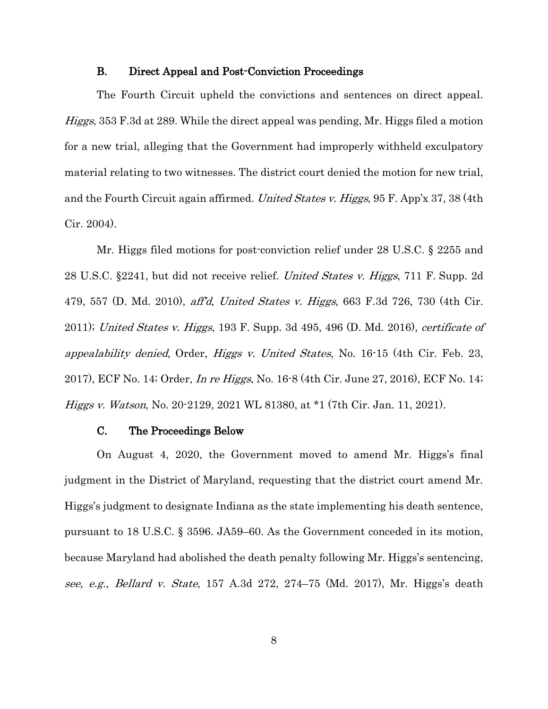### B. Direct Appeal and Post-Conviction Proceedings

<span id="page-13-5"></span><span id="page-13-0"></span>The Fourth Circuit upheld the convictions and sentences on direct appeal. Higgs, 353 F.3d at 289. While the direct appeal was pending, Mr. Higgs filed a motion for a new trial, alleging that the Government had improperly withheld exculpatory material relating to two witnesses. The district court denied the motion for new trial, and the Fourth Circuit again affirmed. United States v. Higgs, 95 F. App'x 37, 38 (4th Cir. 2004).

<span id="page-13-8"></span><span id="page-13-7"></span><span id="page-13-6"></span><span id="page-13-4"></span><span id="page-13-3"></span>Mr. Higgs filed motions for post-conviction relief under 28 U.S.C. § 2255 and 28 U.S.C. §2241, but did not receive relief. United States v. Higgs, 711 F. Supp. 2d 479, 557 (D. Md. 2010), aff'd, United States v. Higgs, 663 F.3d 726, 730 (4th Cir. 2011); United States v. Higgs, 193 F. Supp. 3d  $495, 496$  (D. Md. 2016), certificate of appealability denied, Order, Higgs v. United States, No. 16-15 (4th Cir. Feb. 23, 2017), ECF No. 14; Order, In re Higgs, No. 16-8 (4th Cir. June 27, 2016), ECF No. 14; Higgs v. Watson, No. 20-2129, 2021 WL 81380, at \*1 (7th Cir. Jan. 11, 2021).

#### <span id="page-13-2"></span>C. The Proceedings Below

<span id="page-13-9"></span><span id="page-13-1"></span>On August 4, 2020, the Government moved to amend Mr. Higgs's final judgment in the District of Maryland, requesting that the district court amend Mr. Higgs's judgment to designate Indiana as the state implementing his death sentence, pursuant to 18 U.S.C. § 3596. JA59–60. As the Government conceded in its motion, because Maryland had abolished the death penalty following Mr. Higgs's sentencing, see, e.g., Bellard v. State, 157 A.3d 272, 274–75 (Md. 2017), Mr. Higgs's death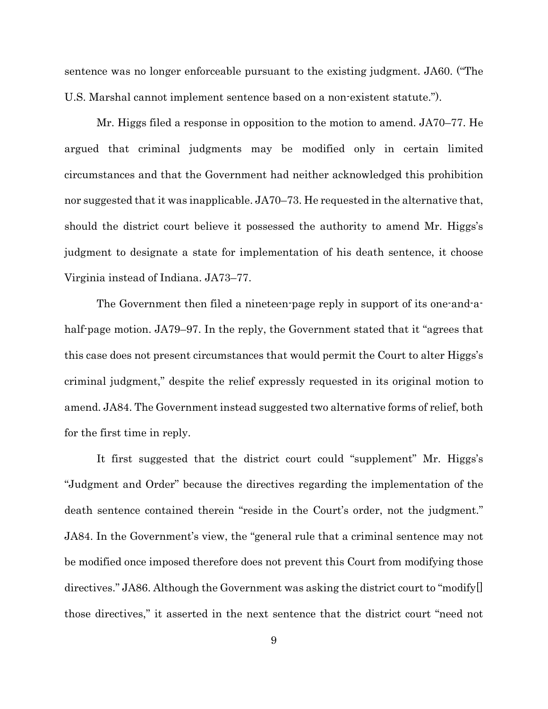sentence was no longer enforceable pursuant to the existing judgment. JA60. ("The U.S. Marshal cannot implement sentence based on a non-existent statute.").

Mr. Higgs filed a response in opposition to the motion to amend. JA70–77. He argued that criminal judgments may be modified only in certain limited circumstances and that the Government had neither acknowledged this prohibition nor suggested that it was inapplicable. JA70–73. He requested in the alternative that, should the district court believe it possessed the authority to amend Mr. Higgs's judgment to designate a state for implementation of his death sentence, it choose Virginia instead of Indiana. JA73–77.

The Government then filed a nineteen-page reply in support of its one-and-ahalf-page motion. JA79–97. In the reply, the Government stated that it "agrees that this case does not present circumstances that would permit the Court to alter Higgs's criminal judgment," despite the relief expressly requested in its original motion to amend. JA84. The Government instead suggested two alternative forms of relief, both for the first time in reply.

It first suggested that the district court could "supplement" Mr. Higgs's "Judgment and Order" because the directives regarding the implementation of the death sentence contained therein "reside in the Court's order, not the judgment." JA84. In the Government's view, the "general rule that a criminal sentence may not be modified once imposed therefore does not prevent this Court from modifying those directives." JA86. Although the Government was asking the district court to "modify[] those directives," it asserted in the next sentence that the district court "need not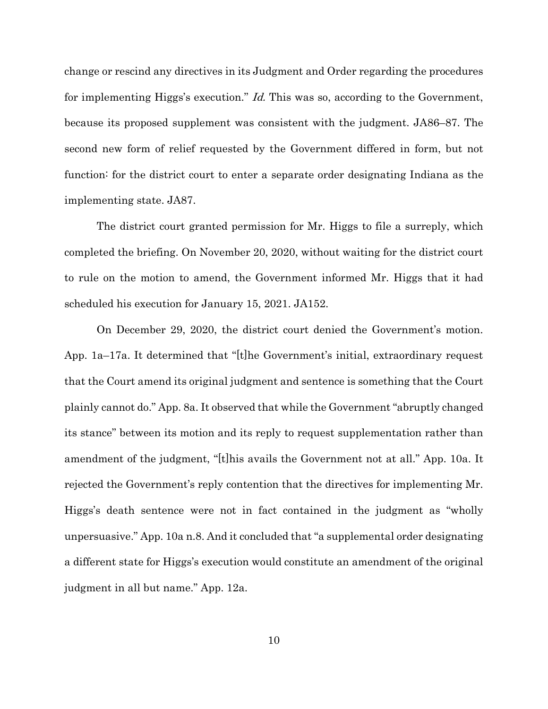<span id="page-15-0"></span>change or rescind any directives in its Judgment and Order regarding the procedures for implementing Higgs's execution." *Id.* This was so, according to the Government, because its proposed supplement was consistent with the judgment. JA86–87. The second new form of relief requested by the Government differed in form, but not function: for the district court to enter a separate order designating Indiana as the implementing state. JA87.

The district court granted permission for Mr. Higgs to file a surreply, which completed the briefing. On November 20, 2020, without waiting for the district court to rule on the motion to amend, the Government informed Mr. Higgs that it had scheduled his execution for January 15, 2021. JA152.

On December 29, 2020, the district court denied the Government's motion. App. 1a–17a. It determined that "[t]he Government's initial, extraordinary request that the Court amend its original judgment and sentence is something that the Court plainly cannot do." App. 8a. It observed that while the Government "abruptly changed its stance" between its motion and its reply to request supplementation rather than amendment of the judgment, "[t]his avails the Government not at all." App. 10a. It rejected the Government's reply contention that the directives for implementing Mr. Higgs's death sentence were not in fact contained in the judgment as "wholly unpersuasive." App. 10a n.8. And it concluded that "a supplemental order designating a different state for Higgs's execution would constitute an amendment of the original judgment in all but name." App. 12a.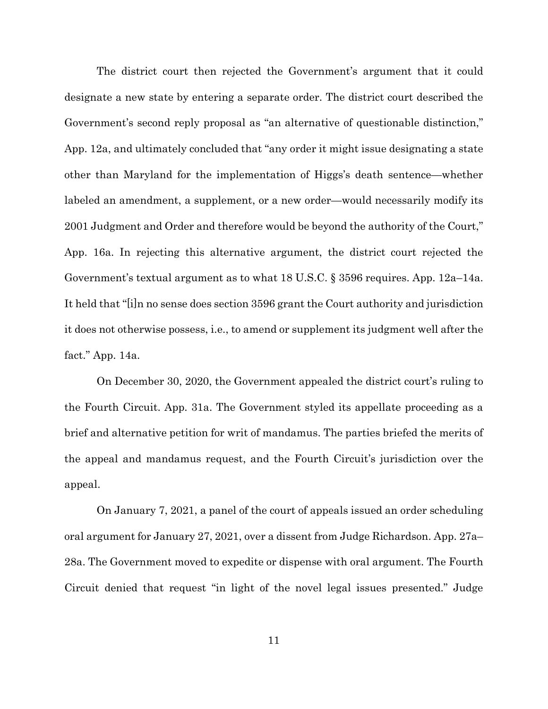The district court then rejected the Government's argument that it could designate a new state by entering a separate order. The district court described the Government's second reply proposal as "an alternative of questionable distinction," App. 12a, and ultimately concluded that "any order it might issue designating a state other than Maryland for the implementation of Higgs's death sentence—whether labeled an amendment, a supplement, or a new order—would necessarily modify its 2001 Judgment and Order and therefore would be beyond the authority of the Court," App. 16a. In rejecting this alternative argument, the district court rejected the Government's textual argument as to what 18 U.S.C. § 3596 requires. App. 12a–14a. It held that "[i]n no sense does section 3596 grant the Court authority and jurisdiction it does not otherwise possess, i.e., to amend or supplement its judgment well after the fact." App. 14a.

On December 30, 2020, the Government appealed the district court's ruling to the Fourth Circuit. App. 31a. The Government styled its appellate proceeding as a brief and alternative petition for writ of mandamus. The parties briefed the merits of the appeal and mandamus request, and the Fourth Circuit's jurisdiction over the appeal.

On January 7, 2021, a panel of the court of appeals issued an order scheduling oral argument for January 27, 2021, over a dissent from Judge Richardson. App. 27a– 28a. The Government moved to expedite or dispense with oral argument. The Fourth Circuit denied that request "in light of the novel legal issues presented." Judge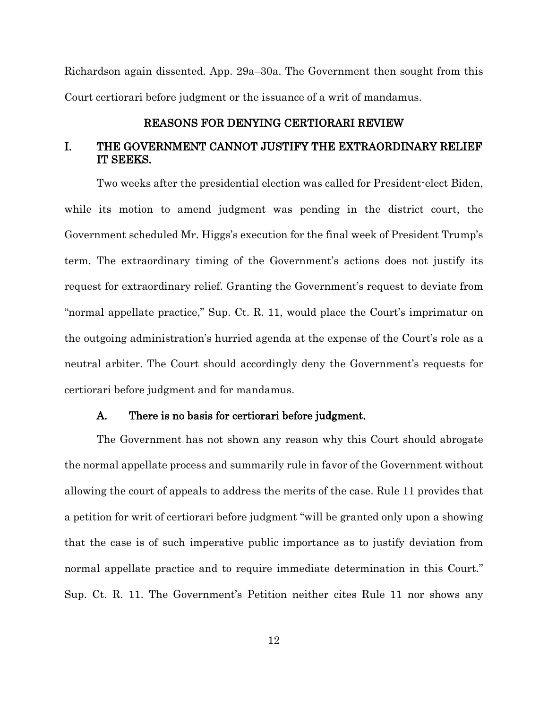Richardson again dissented. App. 29a–30a. The Government then sought from this Court certiorari before judgment or the issuance of a writ of mandamus.

## REASONS FOR DENYING CERTIORARI REVIEW

## <span id="page-17-1"></span><span id="page-17-0"></span>I. THE GOVERNMENT CANNOT JUSTIFY THE EXTRAORDINARY RELIEF IT SEEKS.

Two weeks after the presidential election was called for President-elect Biden, while its motion to amend judgment was pending in the district court, the Government scheduled Mr. Higgs's execution for the final week of President Trump's term. The extraordinary timing of the Government's actions does not justify its request for extraordinary relief. Granting the Government's request to deviate from "normal appellate practice," Sup. Ct. R. 11, would place the Court's imprimatur on the outgoing administration's hurried agenda at the expense of the Court's role as a neutral arbiter. The Court should accordingly deny the Government's requests for certiorari before judgment and for mandamus.

### A. There is no basis for certiorari before judgment.

<span id="page-17-2"></span>The Government has not shown any reason why this Court should abrogate the normal appellate process and summarily rule in favor of the Government without allowing the court of appeals to address the merits of the case. Rule 11 provides that a petition for writ of certiorari before judgment "will be granted only upon a showing that the case is of such imperative public importance as to justify deviation from normal appellate practice and to require immediate determination in this Court." Sup. Ct. R. 11. The Government's Petition neither cites Rule 11 nor shows any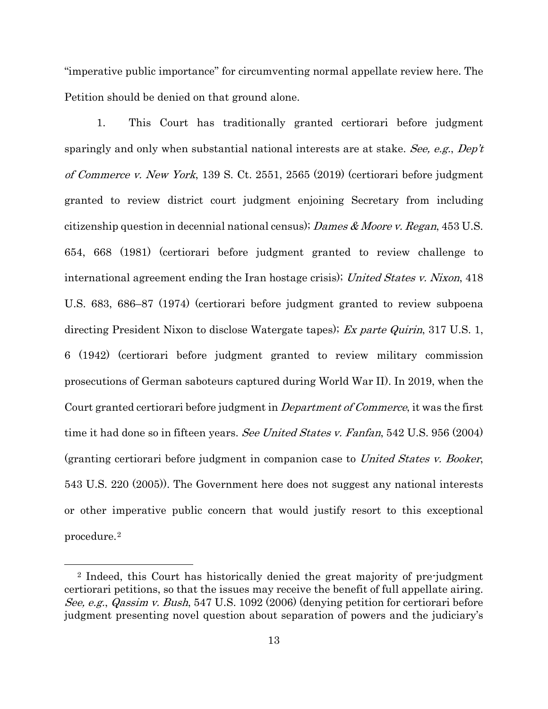"imperative public importance" for circumventing normal appellate review here. The Petition should be denied on that ground alone.

<span id="page-18-5"></span><span id="page-18-2"></span><span id="page-18-1"></span><span id="page-18-0"></span>1. This Court has traditionally granted certiorari before judgment sparingly and only when substantial national interests are at stake. See, e.g.,  $Dep't$ of Commerce v. New York, 139 S. Ct. 2551, 2565 (2019) (certiorari before judgment granted to review district court judgment enjoining Secretary from including citizenship question in decennial national census); Dames  $\&$  Moore v. Regan, 453 U.S. 654, 668 (1981) (certiorari before judgment granted to review challenge to international agreement ending the Iran hostage crisis); United States v. Nixon, 418 U.S. 683, 686–87 (1974) (certiorari before judgment granted to review subpoena directing President Nixon to disclose Watergate tapes); Ex parte Quirin, 317 U.S. 1, 6 (1942) (certiorari before judgment granted to review military commission prosecutions of German saboteurs captured during World War II). In 2019, when the Court granted certiorari before judgment in Department of Commerce, it was the first time it had done so in fifteen years. See United States v. Fanfan, 542 U.S. 956 (2004) (granting certiorari before judgment in companion case to United States v. Booker, 543 U.S. 220 (2005)). The Government here does not suggest any national interests or other imperative public concern that would justify resort to this exceptional procedure.[2](#page-18-6)

<span id="page-18-4"></span> $\overline{a}$ 

<span id="page-18-6"></span><span id="page-18-3"></span><sup>2</sup> Indeed, this Court has historically denied the great majority of pre-judgment certiorari petitions, so that the issues may receive the benefit of full appellate airing. See, e.g., Qassim v. Bush, 547 U.S. 1092 (2006) (denying petition for certiorari before judgment presenting novel question about separation of powers and the judiciary's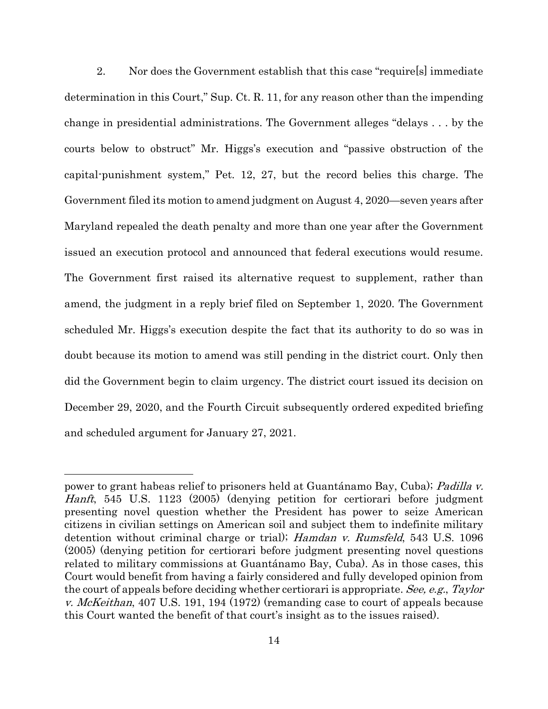2. Nor does the Government establish that this case "require[s] immediate determination in this Court," Sup. Ct. R. 11, for any reason other than the impending change in presidential administrations. The Government alleges "delays . . . by the courts below to obstruct" Mr. Higgs's execution and "passive obstruction of the capital-punishment system," Pet. 12, 27, but the record belies this charge. The Government filed its motion to amend judgment on August 4, 2020—seven years after Maryland repealed the death penalty and more than one year after the Government issued an execution protocol and announced that federal executions would resume. The Government first raised its alternative request to supplement, rather than amend, the judgment in a reply brief filed on September 1, 2020. The Government scheduled Mr. Higgs's execution despite the fact that its authority to do so was in doubt because its motion to amend was still pending in the district court. Only then did the Government begin to claim urgency. The district court issued its decision on December 29, 2020, and the Fourth Circuit subsequently ordered expedited briefing and scheduled argument for January 27, 2021.

<span id="page-19-1"></span> $\overline{a}$ 

<span id="page-19-2"></span><span id="page-19-0"></span>power to grant habeas relief to prisoners held at Guantánamo Bay, Cuba); Padilla v. Hanft, 545 U.S. 1123 (2005) (denying petition for certiorari before judgment presenting novel question whether the President has power to seize American citizens in civilian settings on American soil and subject them to indefinite military detention without criminal charge or trial); Hamdan v. Rumsfeld, 543 U.S. 1096 (2005) (denying petition for certiorari before judgment presenting novel questions related to military commissions at Guantánamo Bay, Cuba). As in those cases, this Court would benefit from having a fairly considered and fully developed opinion from the court of appeals before deciding whether certiorari is appropriate. See, e.g., Taylor v. *McKeithan*, 407 U.S. 191, 194 (1972) (remanding case to court of appeals because this Court wanted the benefit of that court's insight as to the issues raised).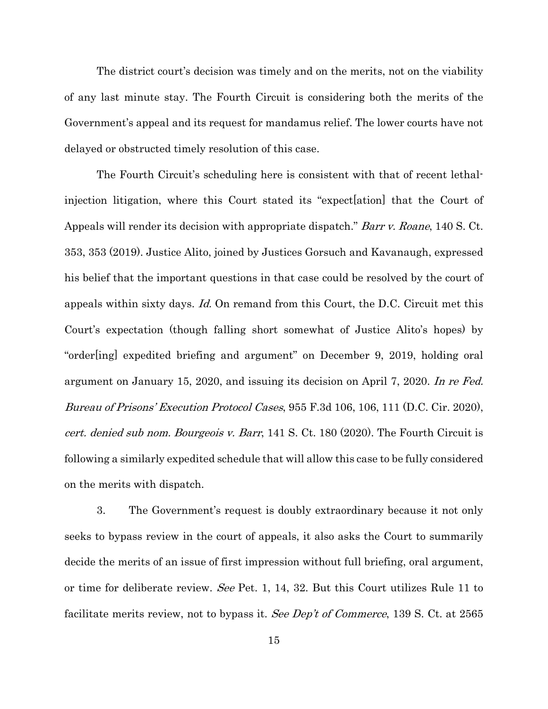The district court's decision was timely and on the merits, not on the viability of any last minute stay. The Fourth Circuit is considering both the merits of the Government's appeal and its request for mandamus relief. The lower courts have not delayed or obstructed timely resolution of this case.

<span id="page-20-0"></span>The Fourth Circuit's scheduling here is consistent with that of recent lethalinjection litigation, where this Court stated its "expect[ation] that the Court of Appeals will render its decision with appropriate dispatch." *Barr v. Roane*, 140 S. Ct. 353, 353 (2019). Justice Alito, joined by Justices Gorsuch and Kavanaugh, expressed his belief that the important questions in that case could be resolved by the court of appeals within sixty days. Id. On remand from this Court, the D.C. Circuit met this Court's expectation (though falling short somewhat of Justice Alito's hopes) by "order[ing] expedited briefing and argument" on December 9, 2019, holding oral argument on January 15, 2020, and issuing its decision on April 7, 2020. In re Fed. Bureau of Prisons' Execution Protocol Cases, 955 F.3d 106, 106, 111 (D.C. Cir. 2020), cert. denied sub nom. Bourgeois v. Barr, 141 S. Ct. 180 (2020). The Fourth Circuit is following a similarly expedited schedule that will allow this case to be fully considered on the merits with dispatch.

<span id="page-20-2"></span><span id="page-20-1"></span>3. The Government's request is doubly extraordinary because it not only seeks to bypass review in the court of appeals, it also asks the Court to summarily decide the merits of an issue of first impression without full briefing, oral argument, or time for deliberate review. See Pet. 1, 14, 32. But this Court utilizes Rule 11 to facilitate merits review, not to bypass it. See Dep't of Commerce, 139 S. Ct. at 2565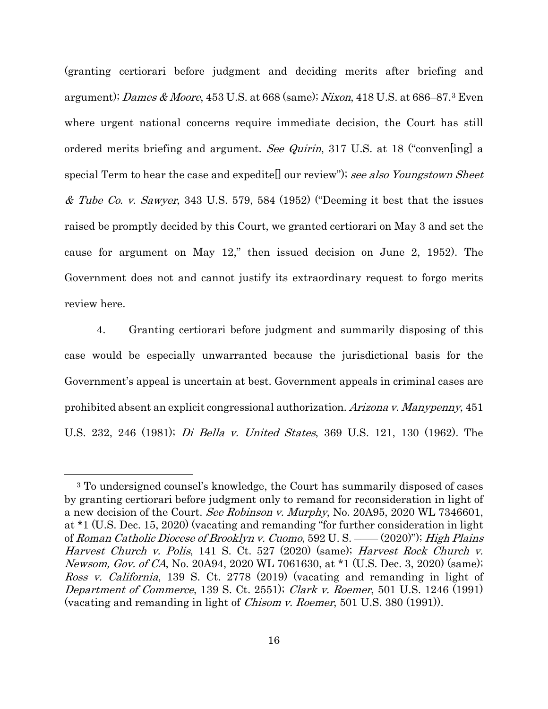<span id="page-21-10"></span><span id="page-21-9"></span><span id="page-21-4"></span><span id="page-21-2"></span>(granting certiorari before judgment and deciding merits after briefing and argument); Dames & Moore, 45[3](#page-21-11) U.S. at 668 (same); Nixon, 418 U.S. at 686–87. $^3$  Even where urgent national concerns require immediate decision, the Court has still ordered merits briefing and argument. See Quirin, 317 U.S. at 18 ("convenling] a special Term to hear the case and expeditell our review"); see also Youngstown Sheet & Tube Co. v. Sawyer, 343 U.S. 579, 584 (1952) ("Deeming it best that the issues raised be promptly decided by this Court, we granted certiorari on May 3 and set the cause for argument on May 12," then issued decision on June 2, 1952). The Government does not and cannot justify its extraordinary request to forgo merits review here.

4. Granting certiorari before judgment and summarily disposing of this case would be especially unwarranted because the jurisdictional basis for the Government's appeal is uncertain at best. Government appeals in criminal cases are prohibited absent an explicit congressional authorization. Arizona v. Manypenny, 451 U.S. 232, 246 (1981); Di Bella v. United States, 369 U.S. 121, 130 (1962). The

<span id="page-21-3"></span><span id="page-21-0"></span> $\overline{a}$ 

<span id="page-21-11"></span><span id="page-21-8"></span><span id="page-21-7"></span><span id="page-21-6"></span><span id="page-21-5"></span><span id="page-21-1"></span><sup>3</sup> To undersigned counsel's knowledge, the Court has summarily disposed of cases by granting certiorari before judgment only to remand for reconsideration in light of a new decision of the Court. See Robinson v. Murphy, No. 20A95, 2020 WL 7346601, at \*1 (U.S. Dec. 15, 2020) (vacating and remanding "for further consideration in light of Roman Catholic Diocese of Brooklyn v. Cuomo, 592 U. S. —— (2020)"); High Plains Harvest Church v. Polis, 141 S. Ct. 527 (2020) (same); Harvest Rock Church v. Newsom, Gov. of CA, No. 20A94, 2020 WL 7061630, at \*1 (U.S. Dec. 3, 2020) (same); Ross v. California, 139 S. Ct. 2778 (2019) (vacating and remanding in light of Department of Commerce, 139 S. Ct. 2551); Clark v. Roemer, 501 U.S. 1246 (1991) (vacating and remanding in light of Chisom v. Roemer, 501 U.S. 380 (1991)).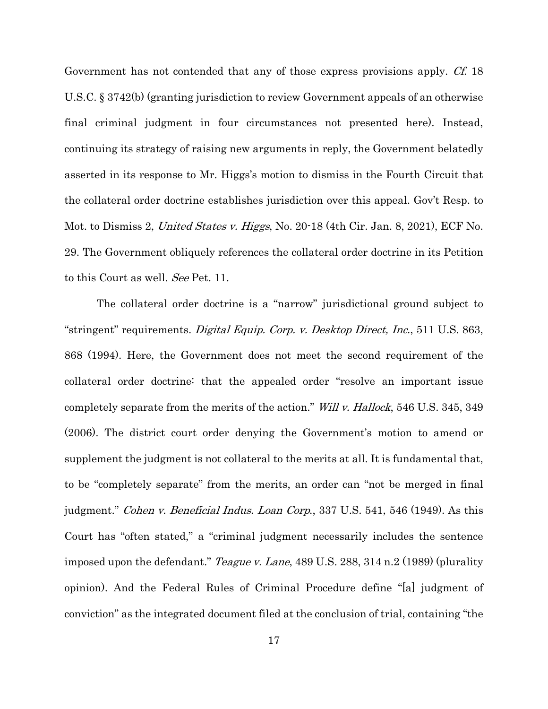<span id="page-22-4"></span>Government has not contended that any of those express provisions apply. Cf. 18 U.S.C. § 3742(b) (granting jurisdiction to review Government appeals of an otherwise final criminal judgment in four circumstances not presented here). Instead, continuing its strategy of raising new arguments in reply, the Government belatedly asserted in its response to Mr. Higgs's motion to dismiss in the Fourth Circuit that the collateral order doctrine establishes jurisdiction over this appeal. Gov't Resp. to Mot. to Dismiss 2, United States v. Higgs, No. 20-18 (4th Cir. Jan. 8, 2021), ECF No. 29. The Government obliquely references the collateral order doctrine in its Petition to this Court as well. See Pet. 11.

<span id="page-22-3"></span><span id="page-22-2"></span><span id="page-22-1"></span><span id="page-22-0"></span>The collateral order doctrine is a "narrow" jurisdictional ground subject to "stringent" requirements. Digital Equip. Corp. v. Desktop Direct, Inc., 511 U.S. 863, 868 (1994). Here, the Government does not meet the second requirement of the collateral order doctrine: that the appealed order "resolve an important issue completely separate from the merits of the action." Will v. Hallock, 546 U.S. 345, 349 (2006). The district court order denying the Government's motion to amend or supplement the judgment is not collateral to the merits at all. It is fundamental that, to be "completely separate" from the merits, an order can "not be merged in final judgment." Cohen v. Beneficial Indus. Loan Corp., 337 U.S. 541, 546 (1949). As this Court has "often stated," a "criminal judgment necessarily includes the sentence imposed upon the defendant." *Teague v. Lane*, 489 U.S. 288, 314 n.2 (1989) (plurality opinion). And the Federal Rules of Criminal Procedure define "[a] judgment of conviction" as the integrated document filed at the conclusion of trial, containing "the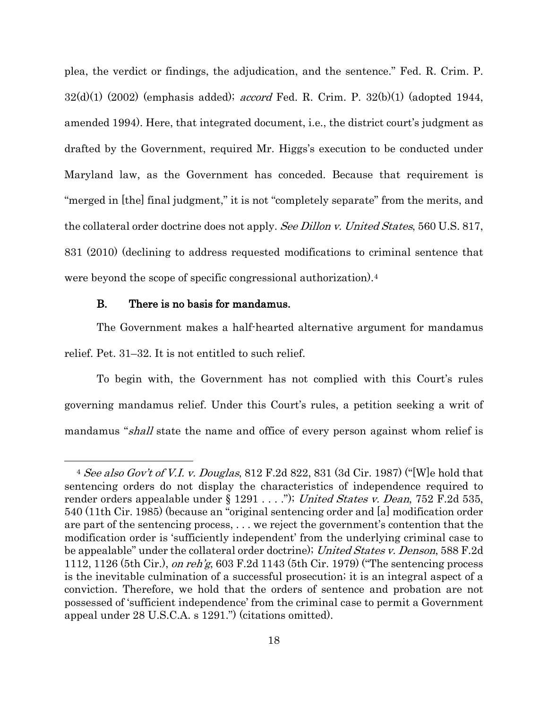plea, the verdict or findings, the adjudication, and the sentence." Fed. R. Crim. P.  $32(d)(1)$  (2002) (emphasis added); *accord* Fed. R. Crim. P.  $32(b)(1)$  (adopted 1944, amended 1994). Here, that integrated document, i.e., the district court's judgment as drafted by the Government, required Mr. Higgs's execution to be conducted under Maryland law, as the Government has conceded. Because that requirement is "merged in [the] final judgment," it is not "completely separate" from the merits, and the collateral order doctrine does not apply. See Dillon v. United States, 560 U.S. 817, 831 (2010) (declining to address requested modifications to criminal sentence that were beyond the scope of specific congressional authorization).[4](#page-23-5)

#### <span id="page-23-1"></span>B. There is no basis for mandamus.

 $\overline{a}$ 

<span id="page-23-0"></span>The Government makes a half-hearted alternative argument for mandamus relief. Pet. 31–32. It is not entitled to such relief.

To begin with, the Government has not complied with this Court's rules governing mandamus relief. Under this Court's rules, a petition seeking a writ of mandamus "shall state the name and office of every person against whom relief is

<span id="page-23-5"></span><span id="page-23-4"></span><span id="page-23-3"></span><span id="page-23-2"></span><sup>&</sup>lt;sup>4</sup> See also Gov't of V.I. v. Douglas, 812 F.2d 822, 831 (3d Cir. 1987) ("We hold that sentencing orders do not display the characteristics of independence required to render orders appealable under § 1291 . . . ."); United States v. Dean, 752 F.2d 535, 540 (11th Cir. 1985) (because an "original sentencing order and [a] modification order are part of the sentencing process, . . . we reject the government's contention that the modification order is 'sufficiently independent' from the underlying criminal case to be appealable" under the collateral order doctrine); United States v. Denson, 588 F.2d 1112, 1126 (5th Cir.), on reh'g, 603 F.2d 1143 (5th Cir. 1979) ("The sentencing process is the inevitable culmination of a successful prosecution; it is an integral aspect of a conviction. Therefore, we hold that the orders of sentence and probation are not possessed of 'sufficient independence' from the criminal case to permit a Government appeal under 28 U.S.C.A. s 1291.") (citations omitted).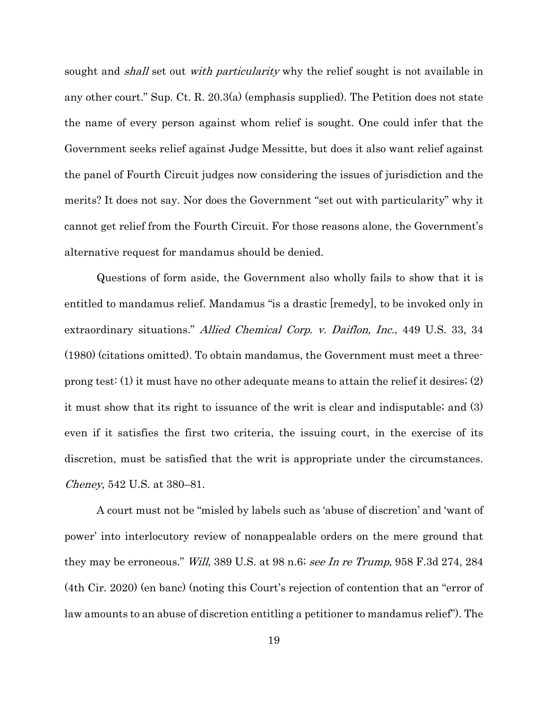sought and *shall* set out *with particularity* why the relief sought is not available in any other court." Sup. Ct. R. 20.3(a) (emphasis supplied). The Petition does not state the name of every person against whom relief is sought. One could infer that the Government seeks relief against Judge Messitte, but does it also want relief against the panel of Fourth Circuit judges now considering the issues of jurisdiction and the merits? It does not say. Nor does the Government "set out with particularity" why it cannot get relief from the Fourth Circuit. For those reasons alone, the Government's alternative request for mandamus should be denied.

<span id="page-24-0"></span>Questions of form aside, the Government also wholly fails to show that it is entitled to mandamus relief. Mandamus "is a drastic [remedy], to be invoked only in extraordinary situations." Allied Chemical Corp. v. Daiflon, Inc., 449 U.S. 33, 34 (1980) (citations omitted). To obtain mandamus, the Government must meet a threeprong test: (1) it must have no other adequate means to attain the relief it desires; (2) it must show that its right to issuance of the writ is clear and indisputable; and (3) even if it satisfies the first two criteria, the issuing court, in the exercise of its discretion, must be satisfied that the writ is appropriate under the circumstances. Cheney, 542 U.S. at 380–81.

<span id="page-24-2"></span><span id="page-24-1"></span>A court must not be "misled by labels such as 'abuse of discretion' and 'want of power' into interlocutory review of nonappealable orders on the mere ground that they may be erroneous." Will, 389 U.S. at 98 n.6; see In re Trump, 958 F.3d 274, 284 (4th Cir. 2020) (en banc) (noting this Court's rejection of contention that an "error of law amounts to an abuse of discretion entitling a petitioner to mandamus relief"). The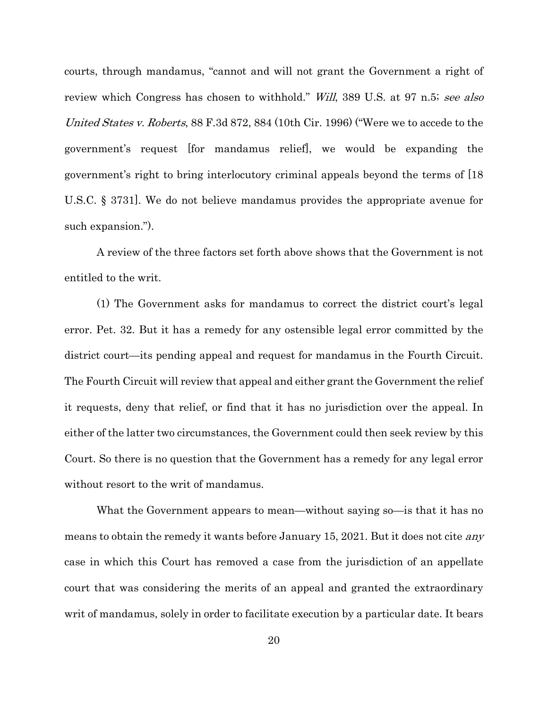<span id="page-25-0"></span>courts, through mandamus, "cannot and will not grant the Government a right of review which Congress has chosen to withhold." *Will*, 389 U.S. at 97 n.5; see also United States v. Roberts, 88 F.3d 872, 884 (10th Cir. 1996) ("Were we to accede to the government's request [for mandamus relief], we would be expanding the government's right to bring interlocutory criminal appeals beyond the terms of [18 U.S.C. § 3731]. We do not believe mandamus provides the appropriate avenue for such expansion.").

A review of the three factors set forth above shows that the Government is not entitled to the writ.

(1) The Government asks for mandamus to correct the district court's legal error. Pet. 32. But it has a remedy for any ostensible legal error committed by the district court—its pending appeal and request for mandamus in the Fourth Circuit. The Fourth Circuit will review that appeal and either grant the Government the relief it requests, deny that relief, or find that it has no jurisdiction over the appeal. In either of the latter two circumstances, the Government could then seek review by this Court. So there is no question that the Government has a remedy for any legal error without resort to the writ of mandamus.

What the Government appears to mean—without saying so—is that it has no means to obtain the remedy it wants before January 15, 2021. But it does not cite *any* case in which this Court has removed a case from the jurisdiction of an appellate court that was considering the merits of an appeal and granted the extraordinary writ of mandamus, solely in order to facilitate execution by a particular date. It bears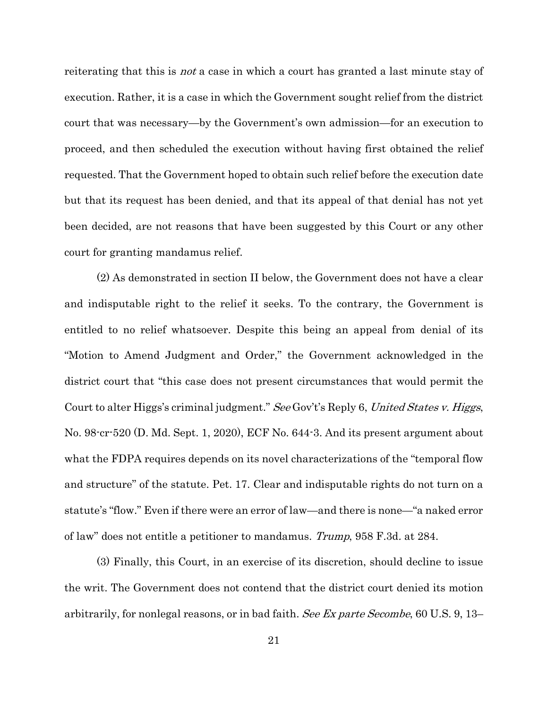reiterating that this is *not* a case in which a court has granted a last minute stay of execution. Rather, it is a case in which the Government sought relief from the district court that was necessary—by the Government's own admission—for an execution to proceed, and then scheduled the execution without having first obtained the relief requested. That the Government hoped to obtain such relief before the execution date but that its request has been denied, and that its appeal of that denial has not yet been decided, are not reasons that have been suggested by this Court or any other court for granting mandamus relief.

(2) As demonstrated in section II below, the Government does not have a clear and indisputable right to the relief it seeks. To the contrary, the Government is entitled to no relief whatsoever. Despite this being an appeal from denial of its "Motion to Amend Judgment and Order," the Government acknowledged in the district court that "this case does not present circumstances that would permit the Court to alter Higgs's criminal judgment." See Gov't's Reply 6, United States v. Higgs, No. 98-cr-520 (D. Md. Sept. 1, 2020), ECF No. 644-3. And its present argument about what the FDPA requires depends on its novel characterizations of the "temporal flow and structure" of the statute. Pet. 17. Clear and indisputable rights do not turn on a statute's "flow." Even if there were an error of law—and there is none—"a naked error of law" does not entitle a petitioner to mandamus. Trump, 958 F.3d. at 284.

<span id="page-26-0"></span>(3) Finally, this Court, in an exercise of its discretion, should decline to issue the writ. The Government does not contend that the district court denied its motion arbitrarily, for nonlegal reasons, or in bad faith. See Ex parte [Secombe](https://1.next.westlaw.com/Link/Document/FullText?findType=Y&serNum=1856196413&pubNum=0000780&originatingDoc=I719ce3b0960d11eabf5abf9270336424&refType=RP&fi=co_pp_sp_780_13&originationContext=document&transitionType=DocumentItem&contextData=(sc.History*oc.UserEnteredCitation)#co_pp_sp_780_13), 60 U.S. 9, 13–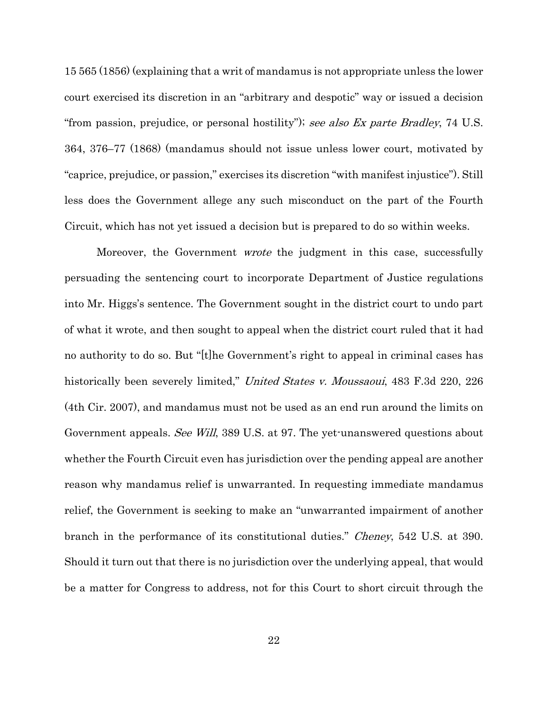15 565 [\(1856\)](https://1.next.westlaw.com/Link/Document/FullText?findType=Y&serNum=1856196413&pubNum=0000780&originatingDoc=I719ce3b0960d11eabf5abf9270336424&refType=RP&fi=co_pp_sp_780_13&originationContext=document&transitionType=DocumentItem&contextData=(sc.History*oc.UserEnteredCitation)#co_pp_sp_780_13) (explaining that a writ of mandamus is not appropriate unless the lower court exercised its discretion in an "arbitrary and despotic" way or issued a decision "from passion, prejudice, or personal hostility"); see also Ex parte [Bradley](https://1.next.westlaw.com/Link/Document/FullText?findType=Y&serNum=1868196916&pubNum=0000780&originatingDoc=I719ce3b0960d11eabf5abf9270336424&refType=RP&fi=co_pp_sp_780_376&originationContext=document&transitionType=DocumentItem&contextData=(sc.History*oc.UserEnteredCitation)#co_pp_sp_780_376), 74 U.S. 364, [376–77](https://1.next.westlaw.com/Link/Document/FullText?findType=Y&serNum=1868196916&pubNum=0000780&originatingDoc=I719ce3b0960d11eabf5abf9270336424&refType=RP&fi=co_pp_sp_780_376&originationContext=document&transitionType=DocumentItem&contextData=(sc.History*oc.UserEnteredCitation)#co_pp_sp_780_376) (1868) (mandamus should not issue unless lower court, motivated by "caprice, prejudice, or passion," exercises its discretion "with manifest injustice"). Still less does the Government allege any such misconduct on the part of the Fourth Circuit, which has not yet issued a decision but is prepared to do so within weeks.

<span id="page-27-1"></span><span id="page-27-0"></span>Moreover, the Government *wrote* the judgment in this case, successfully persuading the sentencing court to incorporate Department of Justice regulations into Mr. Higgs's sentence. The Government sought in the district court to undo part of what it wrote, and then sought to appeal when the district court ruled that it had no authority to do so. But "[t]he Government's right to appeal in criminal cases has historically been severely limited," United States v. Moussaoui, 483 F.3d 220, 226 (4th Cir. 2007), and mandamus must not be used as an end run around the limits on Government appeals. See Will, 389 U.S. at 97. The yet-unanswered questions about whether the Fourth Circuit even has jurisdiction over the pending appeal are another reason why mandamus relief is unwarranted. In requesting immediate mandamus relief, the Government is seeking to make an "unwarranted impairment of another branch in the performance of its constitutional duties." Cheney, 542 U.S. at 390. Should it turn out that there is no jurisdiction over the underlying appeal, that would be a matter for Congress to address, not for this Court to short circuit through the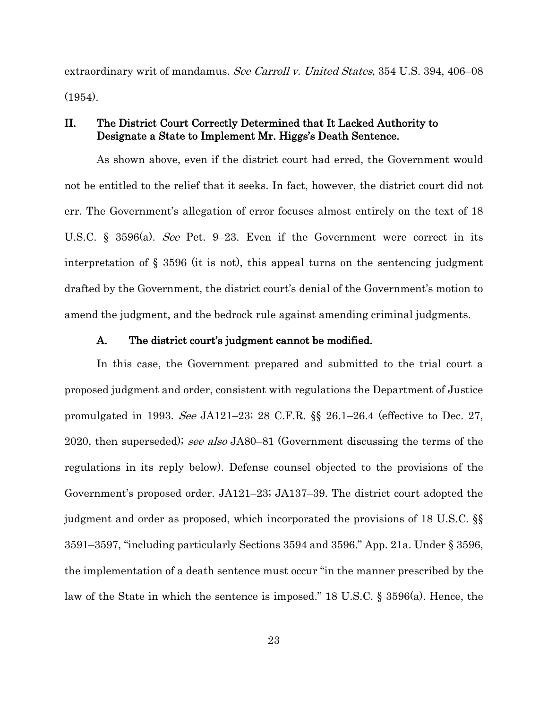<span id="page-28-2"></span>extraordinary writ of mandamus. See Carroll v. United States, 354 U.S. 394, 406–08  $(1954)$ .

## <span id="page-28-0"></span>II. The District Court Correctly Determined that It Lacked Authority to Designate a State to Implement Mr. Higgs's Death Sentence.

As shown above, even if the district court had erred, the Government would not be entitled to the relief that it seeks. In fact, however, the district court did not err. The Government's allegation of error focuses almost entirely on the text of 18 U.S.C. § 3596(a). See Pet. 9–23. Even if the Government were correct in its interpretation of § 3596 (it is not), this appeal turns on the sentencing judgment drafted by the Government, the district court's denial of the Government's motion to amend the judgment, and the bedrock rule against amending criminal judgments.

#### <span id="page-28-4"></span><span id="page-28-3"></span>A. The district court's judgment cannot be modified.

<span id="page-28-1"></span>In this case, the Government prepared and submitted to the trial court a proposed judgment and order, consistent with regulations the Department of Justice promulgated in 1993. See JA121–23; 28 C.F.R. §§ 26.1–26.4 (effective to Dec. 27, 2020, then superseded); see also JA80–81 (Government discussing the terms of the regulations in its reply below). Defense counsel objected to the provisions of the Government's proposed order. JA121–23; JA137–39. The district court adopted the judgment and order as proposed, which incorporated the provisions of 18 U.S.C. §§ 3591–3597, "including particularly Sections 3594 and 3596." App. 21a. Under § 3596, the implementation of a death sentence must occur "in the manner prescribed by the law of the State in which the sentence is imposed." 18 U.S.C. § 3596(a). Hence, the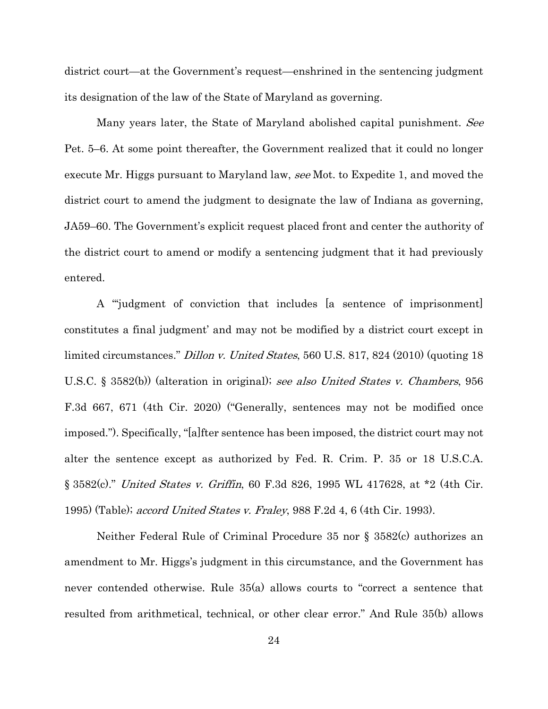district court—at the Government's request—enshrined in the sentencing judgment its designation of the law of the State of Maryland as governing.

Many years later, the State of Maryland abolished capital punishment. See Pet. 5–6. At some point thereafter, the Government realized that it could no longer execute Mr. Higgs pursuant to Maryland law, see Mot. to Expedite 1, and moved the district court to amend the judgment to designate the law of Indiana as governing, JA59–60. The Government's explicit request placed front and center the authority of the district court to amend or modify a sentencing judgment that it had previously entered.

<span id="page-29-1"></span><span id="page-29-0"></span>A "'judgment of conviction that includes [a sentence of imprisonment] constitutes a final judgment' and may not be modified by a district court except in limited circumstances." *Dillon v. United States*, 560 U.S. 817, 824 (2010) (quoting 18 U.S.C. § 3582(b)) (alteration in original); see also United States v. Chambers, 956 F.3d 667, 671 (4th Cir. 2020) ("Generally, sentences may not be modified once imposed."). Specifically, "[a]fter sentence has been imposed, the district court may not alter the sentence except as authorized by Fed. R. Crim. P. 35 or 18 U.S.C.A. § 3582(c)." United States v. Griffin, 60 F.3d 826, 1995 WL 417628, at \*2 (4th Cir. 1995) (Table); accord United States v. Fraley, 988 F.2d 4, 6 (4th Cir. 1993).

<span id="page-29-3"></span><span id="page-29-2"></span>Neither Federal Rule of Criminal Procedure 35 nor § 3582(c) authorizes an amendment to Mr. Higgs's judgment in this circumstance, and the Government has never contended otherwise. Rule 35(a) allows courts to "correct a sentence that resulted from arithmetical, technical, or other clear error." And Rule 35(b) allows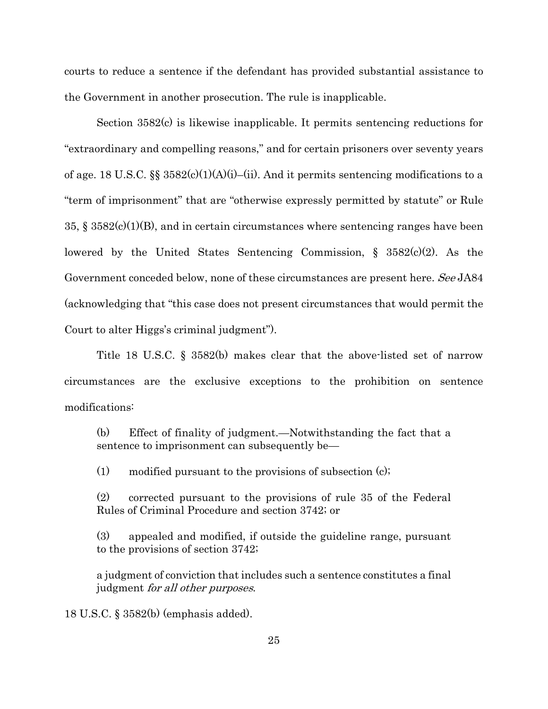courts to reduce a sentence if the defendant has provided substantial assistance to the Government in another prosecution. The rule is inapplicable.

<span id="page-30-1"></span>Section 3582(c) is likewise inapplicable. It permits sentencing reductions for "extraordinary and compelling reasons," and for certain prisoners over seventy years of age. 18 U.S.C. §§ 3582(c)(1)(A)(i)–(ii). And it permits sentencing modifications to a "term of imprisonment" that are "otherwise expressly permitted by statute" or Rule 35,  $\S 3582(c)(1)(B)$ , and in certain circumstances where sentencing ranges have been lowered by the United States Sentencing Commission,  $\S$  3582(c)(2). As the Government conceded below, none of these circumstances are present here. See JA84 (acknowledging that "this case does not present circumstances that would permit the Court to alter Higgs's criminal judgment").

<span id="page-30-0"></span>Title 18 U.S.C. § 3582(b) makes clear that the above-listed set of narrow circumstances are the exclusive exceptions to the prohibition on sentence modifications:

(b) Effect of finality of judgment.—Notwithstanding the fact that a sentence to imprisonment can subsequently be—

(1) modified pursuant to the provisions of subsection (c);

(2) corrected pursuant to the provisions of rule 35 of the Federal Rules of Criminal Procedure and section 3742; or

(3) appealed and modified, if outside the guideline range, pursuant to the provisions of section 3742;

a judgment of conviction that includes such a sentence constitutes a final judgment for all other purposes.

18 U.S.C. § 3582(b) (emphasis added).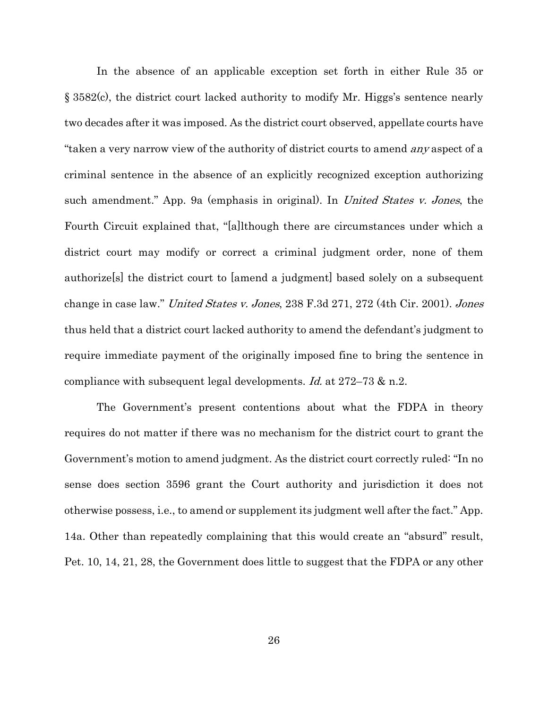In the absence of an applicable exception set forth in either Rule 35 or § 3582(c), the district court lacked authority to modify Mr. Higgs's sentence nearly two decades after it was imposed. As the district court observed, appellate courts have "taken a very narrow view of the authority of district courts to amend any aspect of a criminal sentence in the absence of an explicitly recognized exception authorizing such amendment." App. 9a (emphasis in original). In *United States v. Jones*, the Fourth Circuit explained that, "[a]lthough there are circumstances under which a district court may modify or correct a criminal judgment order, none of them authorize[s] the district court to [amend a judgment] based solely on a subsequent change in case law." United States v. Jones, 238 F.3d 271, 272 (4th Cir. 2001). Jones thus held that a district court lacked authority to amend the defendant's judgment to require immediate payment of the originally imposed fine to bring the sentence in compliance with subsequent legal developments. Id. at  $272-73$  & n.2.

<span id="page-31-0"></span>The Government's present contentions about what the FDPA in theory requires do not matter if there was no mechanism for the district court to grant the Government's motion to amend judgment. As the district court correctly ruled: "In no sense does section 3596 grant the Court authority and jurisdiction it does not otherwise possess, i.e., to amend or supplement its judgment well after the fact." App. 14a. Other than repeatedly complaining that this would create an "absurd" result, Pet. 10, 14, 21, 28, the Government does little to suggest that the FDPA or any other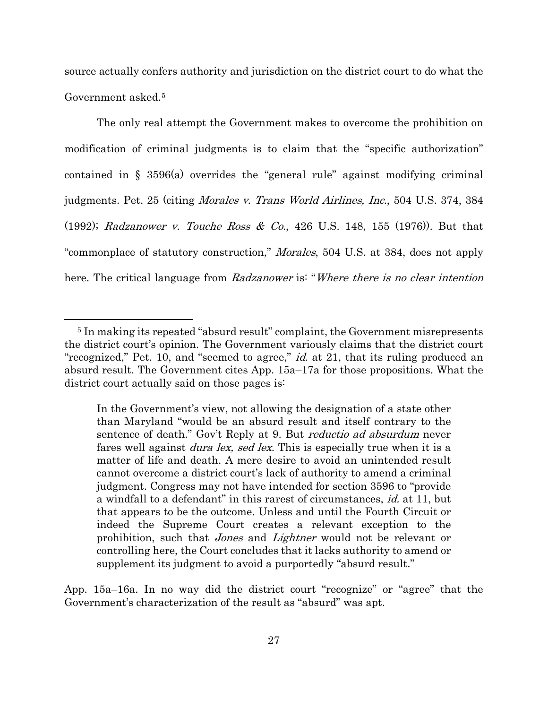source actually confers authority and jurisdiction on the district court to do what the Government asked.[5](#page-32-2)

The only real attempt the Government makes to overcome the prohibition on modification of criminal judgments is to claim that the "specific authorization" contained in § 3596(a) overrides the "general rule" against modifying criminal judgments. Pet. 25 (citing Morales v. Trans World Airlines, Inc., 504 U.S. 374, 384 (1992); Radzanower v. Touche Ross & Co., 426 U.S. 148, 155 (1976)). But that "commonplace of statutory construction," Morales, 504 U.S. at 384, does not apply here. The critical language from Radzanower is: "Where there is no clear intention

<span id="page-32-1"></span><span id="page-32-0"></span> $\overline{a}$ 

App. 15a–16a. In no way did the district court "recognize" or "agree" that the Government's characterization of the result as "absurd" was apt.

<span id="page-32-2"></span><sup>5</sup> In making its repeated "absurd result" complaint, the Government misrepresents the district court's opinion. The Government variously claims that the district court "recognized," Pet. 10, and "seemed to agree," *id.* at 21, that its ruling produced an absurd result. The Government cites App. 15a–17a for those propositions. What the district court actually said on those pages is:

In the Government's view, not allowing the designation of a state other than Maryland "would be an absurd result and itself contrary to the sentence of death." Gov't Reply at 9. But *reductio ad absurdum* never fares well against *dura lex, sed lex*. This is especially true when it is a matter of life and death. A mere desire to avoid an unintended result cannot overcome a district court's lack of authority to amend a criminal judgment. Congress may not have intended for section 3596 to "provide a windfall to a defendant" in this rarest of circumstances, id. at 11, but that appears to be the outcome. Unless and until the Fourth Circuit or indeed the Supreme Court creates a relevant exception to the prohibition, such that *Jones* and *Lightner* would not be relevant or controlling here, the Court concludes that it lacks authority to amend or supplement its judgment to avoid a purportedly "absurd result."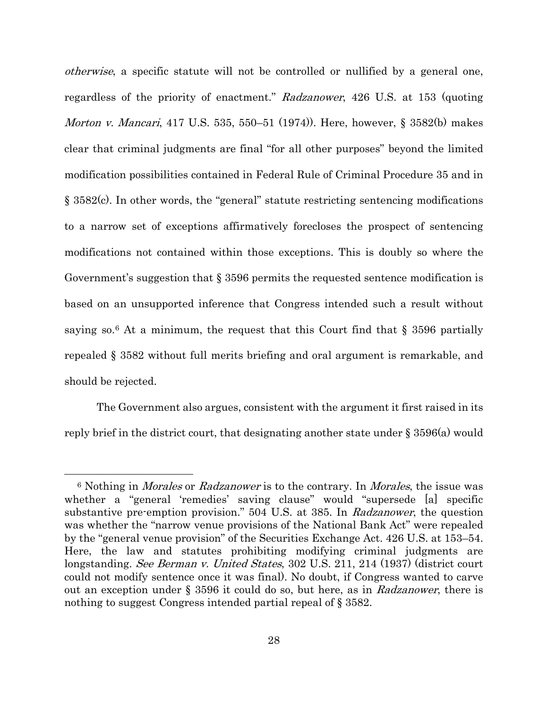<span id="page-33-2"></span>otherwise, a specific statute will not be controlled or nullified by a general one, regardless of the priority of enactment." Radzanower, 426 U.S. at 153 (quoting Morton v. Mancari, 417 U.S. 535, 550–51 (1974)). Here, however, § 3582(b) makes clear that criminal judgments are final "for all other purposes" beyond the limited modification possibilities contained in Federal Rule of Criminal Procedure 35 and in § 3582(c). In other words, the "general" statute restricting sentencing modifications to a narrow set of exceptions affirmatively forecloses the prospect of sentencing modifications not contained within those exceptions. This is doubly so where the Government's suggestion that § 3596 permits the requested sentence modification is based on an unsupported inference that Congress intended such a result without saying so.<sup>[6](#page-33-3)</sup> At a minimum, the request that this Court find that  $\S$  3596 partially repealed § 3582 without full merits briefing and oral argument is remarkable, and should be rejected.

The Government also argues, consistent with the argument it first raised in its reply brief in the district court, that designating another state under § 3596(a) would

 $\overline{a}$ 

<span id="page-33-3"></span><span id="page-33-1"></span><span id="page-33-0"></span><sup>&</sup>lt;sup>6</sup> Nothing in *Morales* or *Radzanower* is to the contrary. In *Morales*, the issue was whether a "general 'remedies' saving clause" would "supersede [a] specific substantive pre-emption provision." 504 U.S. at 385. In Radzanower, the question was whether the "narrow venue provisions of the National Bank Act" were repealed by the "general venue provision" of the Securities Exchange Act. 426 U.S. at 153–54. Here, the law and statutes prohibiting modifying criminal judgments are longstanding. See Berman v. United States, 302 U.S. 211, 214 (1937) (district court could not modify sentence once it was final). No doubt, if Congress wanted to carve out an exception under § 3596 it could do so, but here, as in Radzanower, there is nothing to suggest Congress intended partial repeal of § 3582.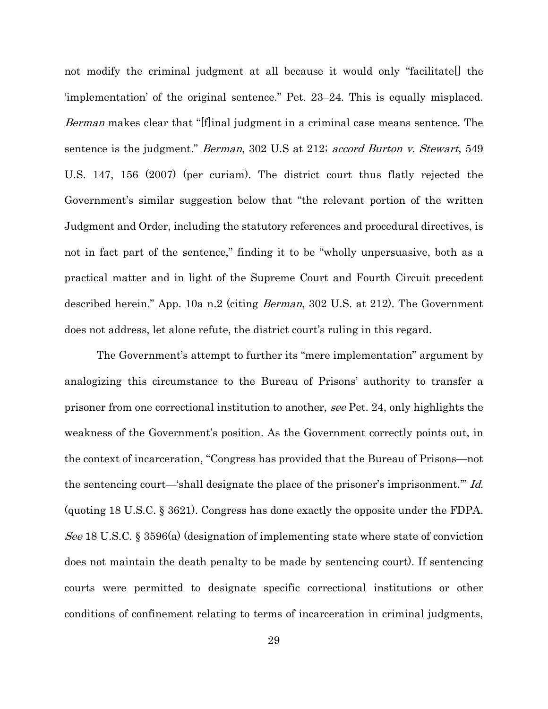<span id="page-34-1"></span><span id="page-34-0"></span>not modify the criminal judgment at all because it would only "facilitatel the 'implementation' of the original sentence." Pet. 23–24. This is equally misplaced. Berman makes clear that "[f]inal judgment in a criminal case means sentence. The sentence is the judgment." *Berman*, 302 U.S at 212; *accord Burton v. Stewart*, 549 U.S. 147, 156 (2007) (per curiam). The district court thus flatly rejected the Government's similar suggestion below that "the relevant portion of the written Judgment and Order, including the statutory references and procedural directives, is not in fact part of the sentence," finding it to be "wholly unpersuasive, both as a practical matter and in light of the Supreme Court and Fourth Circuit precedent described herein." App. 10a n.2 (citing *Berman*, 302 U.S. at 212). The Government does not address, let alone refute, the district court's ruling in this regard.

The Government's attempt to further its "mere implementation" argument by analogizing this circumstance to the Bureau of Prisons' authority to transfer a prisoner from one correctional institution to another, see Pet. 24, only highlights the weakness of the Government's position. As the Government correctly points out, in the context of incarceration, "Congress has provided that the Bureau of Prisons—not the sentencing court—'shall designate the place of the prisoner's imprisonment.'" Id. (quoting 18 U.S.C. § 3621). Congress has done exactly the opposite under the FDPA. See 18 U.S.C. § 3596(a) (designation of implementing state where state of conviction does not maintain the death penalty to be made by sentencing court). If sentencing courts were permitted to designate specific correctional institutions or other conditions of confinement relating to terms of incarceration in criminal judgments,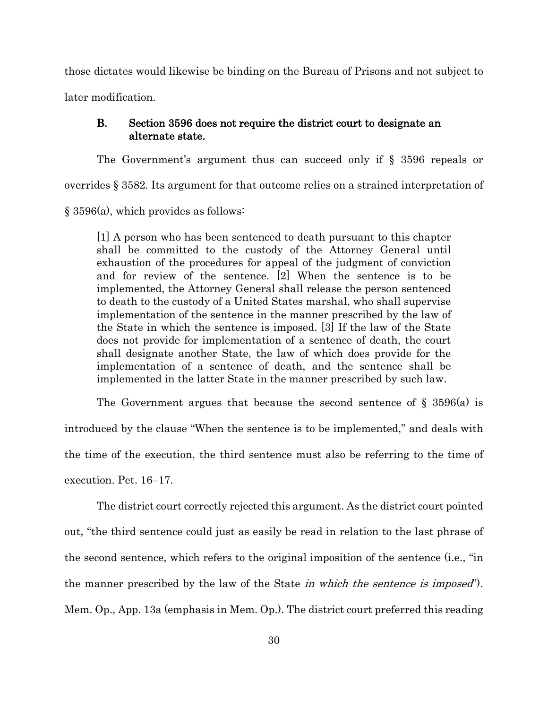those dictates would likewise be binding on the Bureau of Prisons and not subject to later modification.

## <span id="page-35-0"></span>B. Section 3596 does not require the district court to designate an alternate state.

The Government's argument thus can succeed only if § 3596 repeals or overrides § 3582. Its argument for that outcome relies on a strained interpretation of § 3596(a), which provides as follows:

[1] A person who has been sentenced to death pursuant to this chapter shall be committed to the custody of the Attorney General until exhaustion of the procedures for appeal of the judgment of conviction and for review of the sentence. [2] When the sentence is to be implemented, the Attorney General shall release the person sentenced to death to the custody of a United States marshal, who shall supervise implementation of the sentence in the manner prescribed by the law of the State in which the sentence is imposed. [3] If the law of the State does not provide for implementation of a sentence of death, the court shall designate another State, the law of which does provide for the implementation of a sentence of death, and the sentence shall be implemented in the latter State in the manner prescribed by such law.

The Government argues that because the second sentence of  $\S$  3596(a) is introduced by the clause "When the sentence is to be implemented," and deals with the time of the execution, the third sentence must also be referring to the time of execution. Pet. 16–17.

The district court correctly rejected this argument. As the district court pointed out, "the third sentence could just as easily be read in relation to the last phrase of the second sentence, which refers to the original imposition of the sentence (i.e., "in the manner prescribed by the law of the State *in which the sentence is imposed*"). Mem. Op., App. 13a (emphasis in Mem. Op.). The district court preferred this reading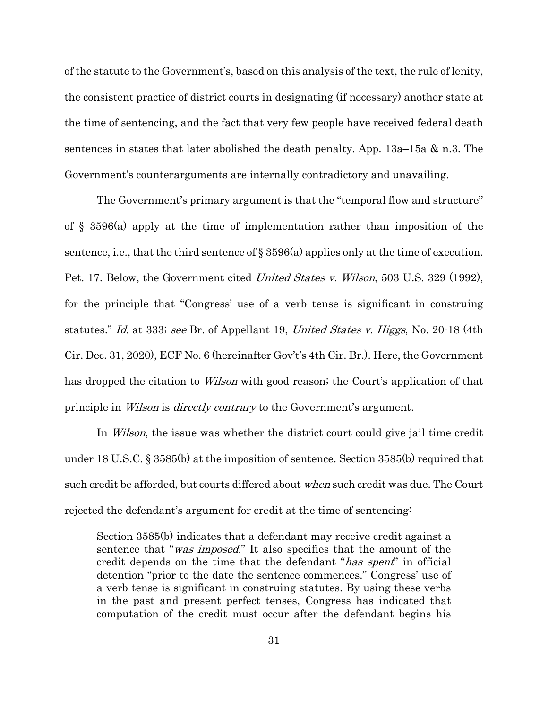of the statute to the Government's, based on this analysis of the text, the rule of lenity, the consistent practice of district courts in designating (if necessary) another state at the time of sentencing, and the fact that very few people have received federal death sentences in states that later abolished the death penalty. App. 13a–15a & n.3. The Government's counterarguments are internally contradictory and unavailing.

<span id="page-36-0"></span>The Government's primary argument is that the "temporal flow and structure" of § 3596(a) apply at the time of implementation rather than imposition of the sentence, i.e., that the third sentence of  $\S 3596(a)$  applies only at the time of execution. Pet. 17. Below, the Government cited *United States v. Wilson*, 503 U.S. 329 (1992), for the principle that "Congress' use of a verb tense is significant in construing statutes." Id. at 333; see Br. of Appellant 19, United States v. Higgs, No. 20-18 (4th Cir. Dec. 31, 2020), ECF No. 6 (hereinafter Gov't's 4th Cir. Br.). Here, the Government has dropped the citation to *Wilson* with good reason; the Court's application of that principle in *Wilson* is *directly contrary* to the Government's argument.

<span id="page-36-1"></span>In Wilson, the issue was whether the district court could give jail time credit under 18 U.S.C. § 3585(b) at the imposition of sentence. Section 3585(b) required that such credit be afforded, but courts differed about when such credit was due. The Court rejected the defendant's argument for credit at the time of sentencing:

Section [3585\(b\)](https://1.next.westlaw.com/Link/Document/FullText?findType=L&pubNum=1000546&cite=18USCAS3585&originatingDoc=I72e9c5829c9a11d991d0cc6b54f12d4d&refType=RB&originationContext=document&transitionType=DocumentItem&contextData=(sc.Default)#co_pp_a83b000018c76) indicates that a defendant may receive credit against a sentence that "*was imposed.*" It also specifies that the amount of the credit depends on the time that the defendant "has spent" in official detention "prior to the date the sentence commences." Congress' use of a verb tense is significant in construing statutes. By using these verbs in the past and present perfect tenses, Congress has indicated that computation of the credit must occur after the defendant begins his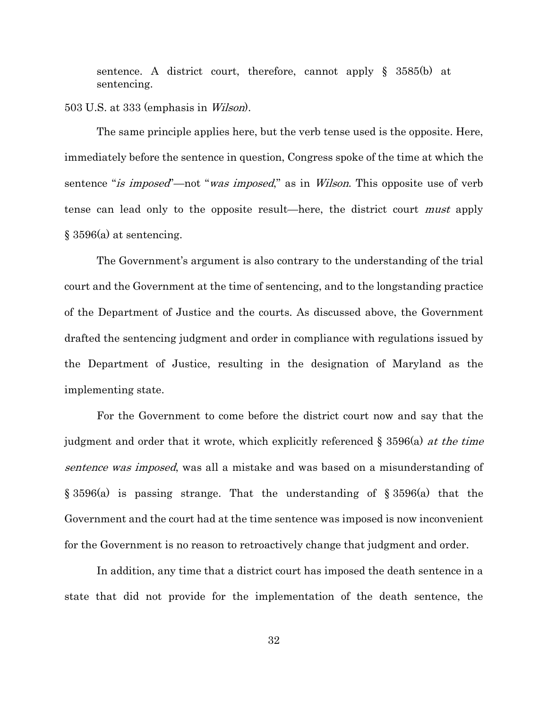sentence. A district court, therefore, cannot apply § [3585\(b\)](https://1.next.westlaw.com/Link/Document/FullText?findType=L&pubNum=1000546&cite=18USCAS3585&originatingDoc=I72e9c5829c9a11d991d0cc6b54f12d4d&refType=RB&originationContext=document&transitionType=DocumentItem&contextData=(sc.Default)#co_pp_a83b000018c76) at sentencing.

<span id="page-37-0"></span>503 U.S. at 333 (emphasis in Wilson).

The same principle applies here, but the verb tense used is the opposite. Here, immediately before the sentence in question, Congress spoke of the time at which the sentence "is imposed"—not "was imposed," as in Wilson. This opposite use of verb tense can lead only to the opposite result—here, the district court must apply § 3596(a) at sentencing.

The Government's argument is also contrary to the understanding of the trial court and the Government at the time of sentencing, and to the longstanding practice of the Department of Justice and the courts. As discussed above, the Government drafted the sentencing judgment and order in compliance with regulations issued by the Department of Justice, resulting in the designation of Maryland as the implementing state.

For the Government to come before the district court now and say that the judgment and order that it wrote, which explicitly referenced  $\S 3596(a)$  at the time sentence was imposed, was all a mistake and was based on a misunderstanding of  $\S 3596(a)$  is passing strange. That the understanding of  $\S 3596(a)$  that the Government and the court had at the time sentence was imposed is now inconvenient for the Government is no reason to retroactively change that judgment and order.

In addition, any time that a district court has imposed the death sentence in a state that did not provide for the implementation of the death sentence, the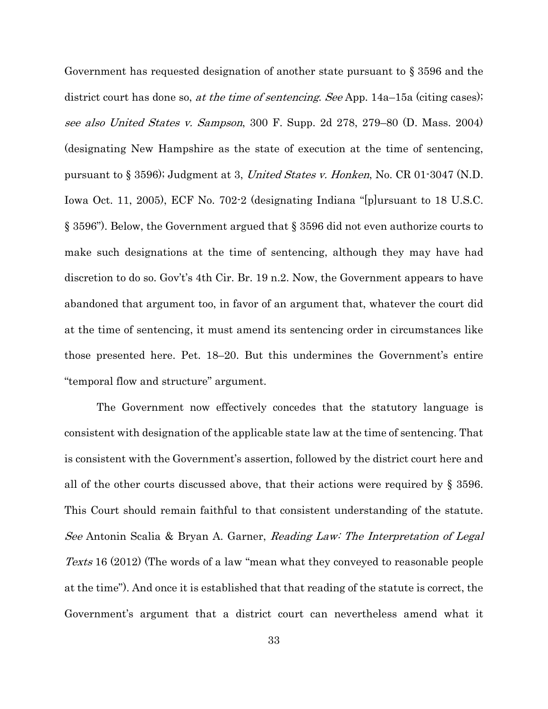<span id="page-38-0"></span>Government has requested designation of another state pursuant to § 3596 and the district court has done so, *at the time of sentencing. See* App. 14a–15a (citing cases); see also United States v. Sampson, 300 F. Supp. 2d 278, 279–80 (D. Mass. 2004) (designating New Hampshire as the state of execution at the time of sentencing, pursuant to § 3596); Judgment at 3, United States v. Honken, No. CR 01-3047 (N.D. Iowa Oct. 11, 2005), ECF No. 702-2 (designating Indiana "[p]ursuant to 18 U.S.C. § 3596"). Below, the Government argued that § 3596 did not even authorize courts to make such designations at the time of sentencing, although they may have had discretion to do so. Gov't's 4th Cir. Br. 19 n.2. Now, the Government appears to have abandoned that argument too, in favor of an argument that, whatever the court did at the time of sentencing, it must amend its sentencing order in circumstances like those presented here. Pet. 18–20. But this undermines the Government's entire "temporal flow and structure" argument.

The Government now effectively concedes that the statutory language is consistent with designation of the applicable state law at the time of sentencing. That is consistent with the Government's assertion, followed by the district court here and all of the other courts discussed above, that their actions were required by § 3596. This Court should remain faithful to that consistent understanding of the statute. See Antonin Scalia & Bryan A. Garner, Reading Law: The Interpretation of Legal Texts 16 (2012) (The words of a law "mean what they conveyed to reasonable people at the time"). And once it is established that that reading of the statute is correct, the Government's argument that a district court can nevertheless amend what it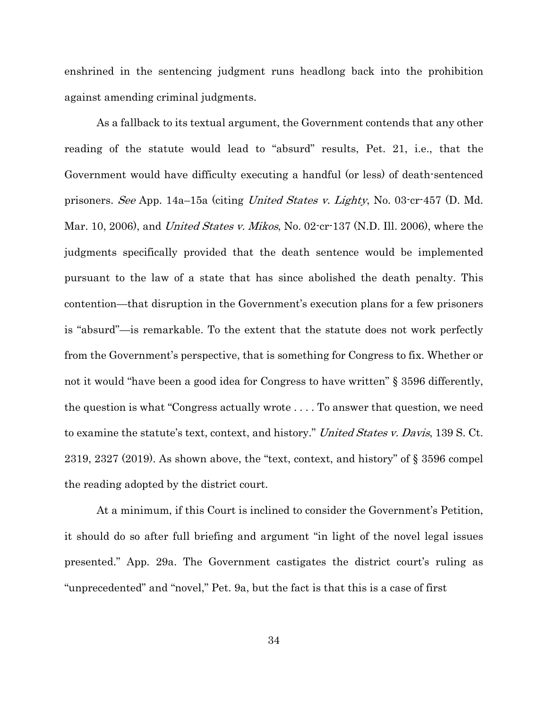enshrined in the sentencing judgment runs headlong back into the prohibition against amending criminal judgments.

As a fallback to its textual argument, the Government contends that any other reading of the statute would lead to "absurd" results, Pet. 21, i.e., that the Government would have difficulty executing a handful (or less) of death-sentenced prisoners. See App. 14a–15a (citing United States v. Lighty, No. 03-cr-457 (D. Md. Mar. 10, 2006), and *United States v. Mikos*, No. 02-cr-137 (N.D. Ill. 2006), where the judgments specifically provided that the death sentence would be implemented pursuant to the law of a state that has since abolished the death penalty. This contention—that disruption in the Government's execution plans for a few prisoners is "absurd"—is remarkable. To the extent that the statute does not work perfectly from the Government's perspective, that is something for Congress to fix. Whether or not it would "have been a good idea for Congress to have written" § 3596 differently, the question is what "Congress actually wrote . . . . To answer that question, we need to examine the statute's text, context, and history." United States v. Davis, 139 S. Ct. 2319, 2327 (2019). As shown above, the "text, context, and history" of § 3596 compel the reading adopted by the district court.

<span id="page-39-0"></span>At a minimum, if this Court is inclined to consider the Government's Petition, it should do so after full briefing and argument "in light of the novel legal issues presented." App. 29a. The Government castigates the district court's ruling as "unprecedented" and "novel," Pet. 9a, but the fact is that this is a case of first